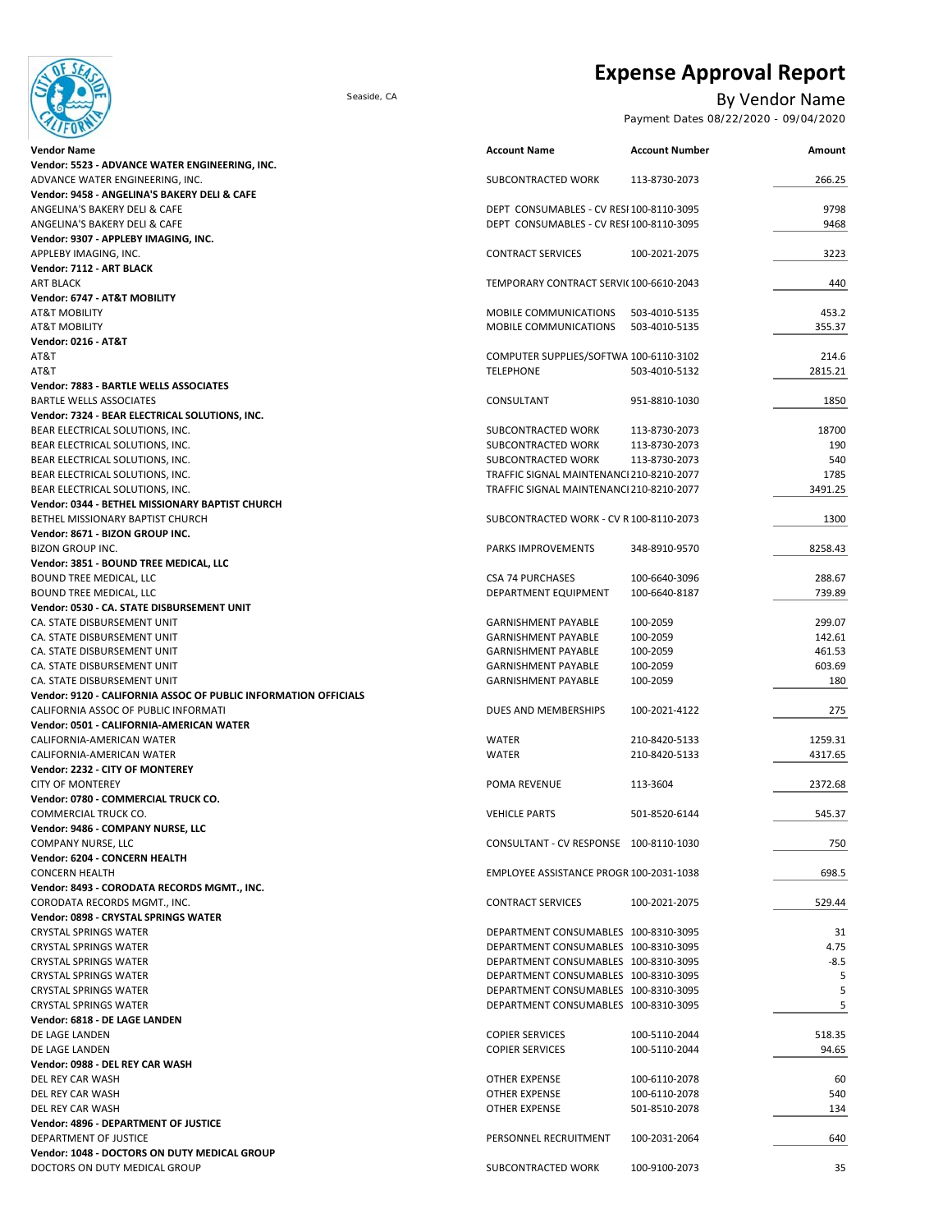

# **Expense Approval Report**

### Seaside, CA By Vendor Name

Payment Dates 08/22/2020 - 09/04/2020

| <b>Vendor Name</b>                                                 | <b>Account Name</b>                      | <b>Account Number</b> | Amount  |
|--------------------------------------------------------------------|------------------------------------------|-----------------------|---------|
| Vendor: 5523 - ADVANCE WATER ENGINEERING, INC.                     |                                          |                       |         |
| ADVANCE WATER ENGINEERING, INC.                                    | SUBCONTRACTED WORK                       | 113-8730-2073         | 266.25  |
| Vendor: 9458 - ANGELINA'S BAKERY DELI & CAFE                       |                                          |                       |         |
| ANGELINA'S BAKERY DELI & CAFE                                      | DEPT CONSUMABLES - CV RESI 100-8110-3095 |                       | 9798    |
| ANGELINA'S BAKERY DELI & CAFE                                      | DEPT CONSUMABLES - CV RESI 100-8110-3095 |                       | 9468    |
| Vendor: 9307 - APPLEBY IMAGING, INC.                               |                                          |                       |         |
| APPLEBY IMAGING, INC.                                              | <b>CONTRACT SERVICES</b>                 | 100-2021-2075         | 3223    |
| Vendor: 7112 - ART BLACK                                           |                                          |                       |         |
| <b>ART BLACK</b>                                                   | TEMPORARY CONTRACT SERVIC100-6610-2043   |                       | 440     |
| Vendor: 6747 - AT&T MOBILITY                                       |                                          |                       |         |
| <b>AT&amp;T MOBILITY</b>                                           | MOBILE COMMUNICATIONS                    | 503-4010-5135         | 453.2   |
| <b>AT&amp;T MOBILITY</b>                                           | MOBILE COMMUNICATIONS                    | 503-4010-5135         | 355.37  |
| <b>Vendor: 0216 - AT&amp;T</b>                                     |                                          |                       |         |
| AT&T                                                               | COMPUTER SUPPLIES/SOFTWA 100-6110-3102   |                       | 214.6   |
| AT&T                                                               | <b>TELEPHONE</b>                         | 503-4010-5132         | 2815.21 |
| Vendor: 7883 - BARTLE WELLS ASSOCIATES                             |                                          |                       |         |
| <b>BARTLE WELLS ASSOCIATES</b>                                     | CONSULTANT                               | 951-8810-1030         | 1850    |
| Vendor: 7324 - BEAR ELECTRICAL SOLUTIONS, INC.                     |                                          |                       |         |
| BEAR ELECTRICAL SOLUTIONS, INC.                                    | SUBCONTRACTED WORK                       | 113-8730-2073         | 18700   |
|                                                                    |                                          |                       |         |
| BEAR ELECTRICAL SOLUTIONS, INC.<br>BEAR ELECTRICAL SOLUTIONS, INC. | SUBCONTRACTED WORK                       | 113-8730-2073         | 190     |
|                                                                    | SUBCONTRACTED WORK                       | 113-8730-2073         | 540     |
| BEAR ELECTRICAL SOLUTIONS, INC.                                    | TRAFFIC SIGNAL MAINTENANCI 210-8210-2077 |                       | 1785    |
| BEAR ELECTRICAL SOLUTIONS, INC.                                    | TRAFFIC SIGNAL MAINTENANCI 210-8210-2077 |                       | 3491.25 |
| Vendor: 0344 - BETHEL MISSIONARY BAPTIST CHURCH                    |                                          |                       |         |
| BETHEL MISSIONARY BAPTIST CHURCH                                   | SUBCONTRACTED WORK - CV R 100-8110-2073  |                       | 1300    |
| Vendor: 8671 - BIZON GROUP INC.                                    |                                          |                       |         |
| <b>BIZON GROUP INC.</b>                                            | PARKS IMPROVEMENTS                       | 348-8910-9570         | 8258.43 |
| Vendor: 3851 - BOUND TREE MEDICAL, LLC                             |                                          |                       |         |
| BOUND TREE MEDICAL, LLC                                            | <b>CSA 74 PURCHASES</b>                  | 100-6640-3096         | 288.67  |
| BOUND TREE MEDICAL, LLC                                            | DEPARTMENT EQUIPMENT                     | 100-6640-8187         | 739.89  |
| Vendor: 0530 - CA. STATE DISBURSEMENT UNIT                         |                                          |                       |         |
| CA. STATE DISBURSEMENT UNIT                                        | <b>GARNISHMENT PAYABLE</b>               | 100-2059              | 299.07  |
| CA. STATE DISBURSEMENT UNIT                                        | <b>GARNISHMENT PAYABLE</b>               | 100-2059              | 142.61  |
| CA. STATE DISBURSEMENT UNIT                                        | <b>GARNISHMENT PAYABLE</b>               | 100-2059              | 461.53  |
| CA. STATE DISBURSEMENT UNIT                                        | <b>GARNISHMENT PAYABLE</b>               | 100-2059              | 603.69  |
| CA. STATE DISBURSEMENT UNIT                                        | <b>GARNISHMENT PAYABLE</b>               | 100-2059              | 180     |
| Vendor: 9120 - CALIFORNIA ASSOC OF PUBLIC INFORMATION OFFICIALS    |                                          |                       |         |
| CALIFORNIA ASSOC OF PUBLIC INFORMATI                               | DUES AND MEMBERSHIPS                     | 100-2021-4122         | 275     |
| Vendor: 0501 - CALIFORNIA-AMERICAN WATER                           |                                          |                       |         |
| CALIFORNIA-AMERICAN WATER                                          | <b>WATER</b>                             | 210-8420-5133         | 1259.31 |
| CALIFORNIA-AMERICAN WATER                                          | <b>WATER</b>                             | 210-8420-5133         | 4317.65 |
| Vendor: 2232 - CITY OF MONTEREY                                    |                                          |                       |         |
| <b>CITY OF MONTEREY</b>                                            | POMA REVENUE                             | 113-3604              | 2372.68 |
| Vendor: 0780 - COMMERCIAL TRUCK CO.                                |                                          |                       |         |
| COMMERCIAL TRUCK CO.                                               | <b>VEHICLE PARTS</b>                     | 501-8520-6144         | 545.37  |
| Vendor: 9486 - COMPANY NURSE, LLC                                  |                                          |                       |         |
|                                                                    |                                          |                       |         |
| COMPANY NURSE, LLC                                                 | CONSULTANT - CV RESPONSE 100-8110-1030   |                       | 750     |
| Vendor: 6204 - CONCERN HEALTH                                      |                                          |                       |         |
| <b>CONCERN HEALTH</b>                                              | EMPLOYEE ASSISTANCE PROGR 100-2031-1038  |                       | 698.5   |
| Vendor: 8493 - CORODATA RECORDS MGMT., INC.                        |                                          |                       |         |
| CORODATA RECORDS MGMT., INC.                                       | <b>CONTRACT SERVICES</b>                 | 100-2021-2075         | 529.44  |
| Vendor: 0898 - CRYSTAL SPRINGS WATER                               |                                          |                       |         |
| <b>CRYSTAL SPRINGS WATER</b>                                       | DEPARTMENT CONSUMABLES 100-8310-3095     |                       | 31      |
| <b>CRYSTAL SPRINGS WATER</b>                                       | DEPARTMENT CONSUMABLES 100-8310-3095     |                       | 4.75    |
| <b>CRYSTAL SPRINGS WATER</b>                                       | DEPARTMENT CONSUMABLES 100-8310-3095     |                       | $-8.5$  |
| <b>CRYSTAL SPRINGS WATER</b>                                       | DEPARTMENT CONSUMABLES 100-8310-3095     |                       | 5       |
| <b>CRYSTAL SPRINGS WATER</b>                                       | DEPARTMENT CONSUMABLES 100-8310-3095     |                       | 5       |
| <b>CRYSTAL SPRINGS WATER</b>                                       | DEPARTMENT CONSUMABLES 100-8310-3095     |                       | 5       |
| Vendor: 6818 - DE LAGE LANDEN                                      |                                          |                       |         |
| DE LAGE LANDEN                                                     | <b>COPIER SERVICES</b>                   | 100-5110-2044         | 518.35  |
| DE LAGE LANDEN                                                     | <b>COPIER SERVICES</b>                   | 100-5110-2044         | 94.65   |
| Vendor: 0988 - DEL REY CAR WASH                                    |                                          |                       |         |
| DEL REY CAR WASH                                                   | OTHER EXPENSE                            | 100-6110-2078         | 60      |
| DEL REY CAR WASH                                                   | OTHER EXPENSE                            | 100-6110-2078         | 540     |
| DEL REY CAR WASH                                                   | OTHER EXPENSE                            | 501-8510-2078         | 134     |
| Vendor: 4896 - DEPARTMENT OF JUSTICE                               |                                          |                       |         |
| DEPARTMENT OF JUSTICE                                              |                                          |                       | 640     |
|                                                                    | PERSONNEL RECRUITMENT                    | 100-2031-2064         |         |
| Vendor: 1048 - DOCTORS ON DUTY MEDICAL GROUP                       |                                          |                       |         |
| DOCTORS ON DUTY MEDICAL GROUP                                      | SUBCONTRACTED WORK                       | 100-9100-2073         | 35      |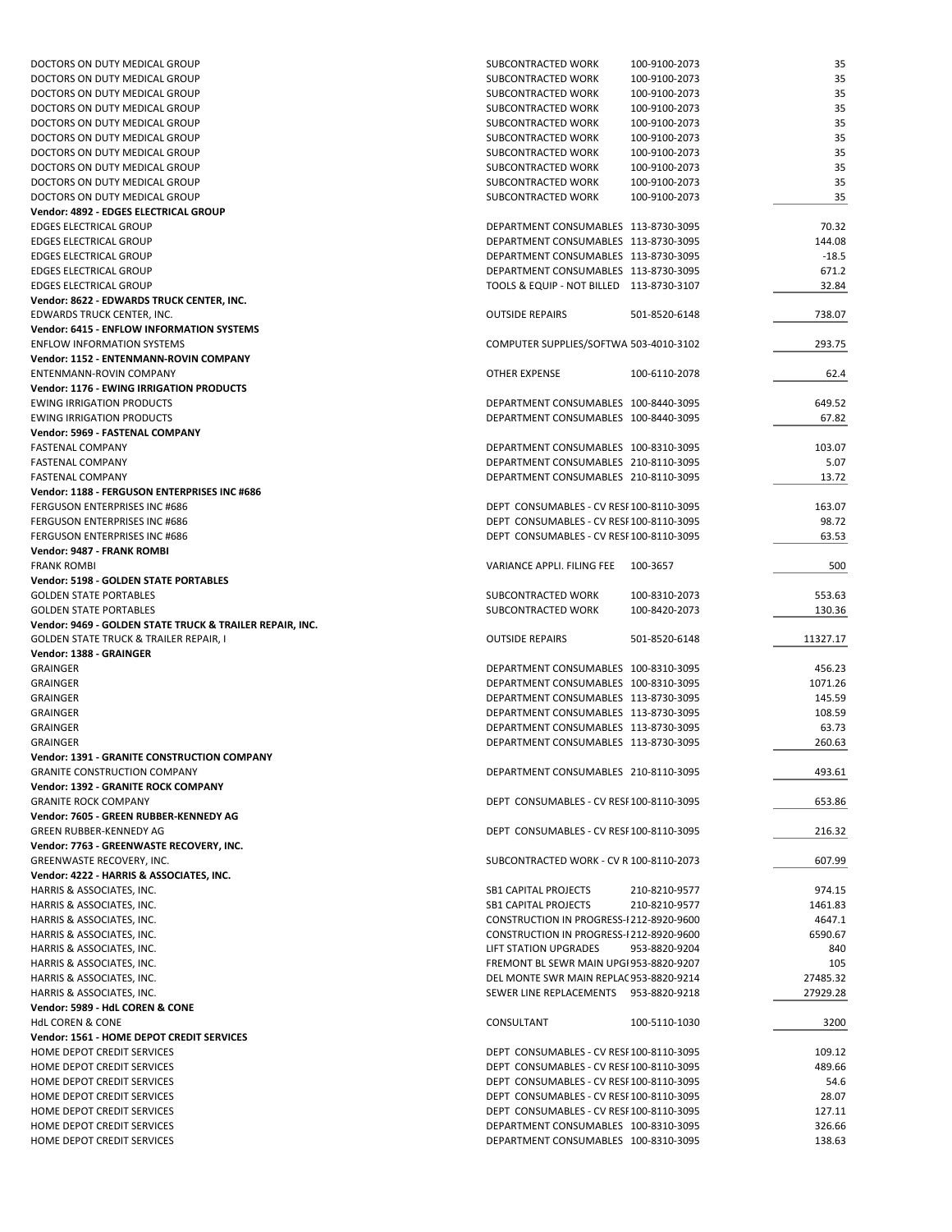| DOCTORS ON DUTY MEDICAL GROUP                            | SUBCONTRACTED WORK                       | 100-9100-2073 | 35       |
|----------------------------------------------------------|------------------------------------------|---------------|----------|
| DOCTORS ON DUTY MEDICAL GROUP                            | SUBCONTRACTED WORK                       | 100-9100-2073 | 35       |
| DOCTORS ON DUTY MEDICAL GROUP                            | SUBCONTRACTED WORK                       | 100-9100-2073 | 35       |
| DOCTORS ON DUTY MEDICAL GROUP                            | SUBCONTRACTED WORK                       | 100-9100-2073 | 35       |
| DOCTORS ON DUTY MEDICAL GROUP                            | SUBCONTRACTED WORK                       | 100-9100-2073 | 35       |
| DOCTORS ON DUTY MEDICAL GROUP                            | SUBCONTRACTED WORK                       | 100-9100-2073 | 35       |
| DOCTORS ON DUTY MEDICAL GROUP                            | SUBCONTRACTED WORK                       | 100-9100-2073 | 35       |
| DOCTORS ON DUTY MEDICAL GROUP                            | SUBCONTRACTED WORK                       | 100-9100-2073 | 35       |
| DOCTORS ON DUTY MEDICAL GROUP                            | SUBCONTRACTED WORK                       | 100-9100-2073 | 35       |
| DOCTORS ON DUTY MEDICAL GROUP                            | SUBCONTRACTED WORK                       | 100-9100-2073 | 35       |
|                                                          |                                          |               |          |
| Vendor: 4892 - EDGES ELECTRICAL GROUP                    |                                          |               |          |
| <b>EDGES ELECTRICAL GROUP</b>                            | DEPARTMENT CONSUMABLES 113-8730-3095     |               | 70.32    |
| <b>EDGES ELECTRICAL GROUP</b>                            | DEPARTMENT CONSUMABLES 113-8730-3095     |               | 144.08   |
| <b>EDGES ELECTRICAL GROUP</b>                            | DEPARTMENT CONSUMABLES 113-8730-3095     |               | $-18.5$  |
| <b>EDGES ELECTRICAL GROUP</b>                            | DEPARTMENT CONSUMABLES 113-8730-3095     |               | 671.2    |
| <b>EDGES ELECTRICAL GROUP</b>                            | TOOLS & EQUIP - NOT BILLED 113-8730-3107 |               | 32.84    |
| Vendor: 8622 - EDWARDS TRUCK CENTER, INC.                |                                          |               |          |
| EDWARDS TRUCK CENTER, INC.                               | <b>OUTSIDE REPAIRS</b>                   | 501-8520-6148 | 738.07   |
| Vendor: 6415 - ENFLOW INFORMATION SYSTEMS                |                                          |               |          |
| <b>ENFLOW INFORMATION SYSTEMS</b>                        | COMPUTER SUPPLIES/SOFTWA 503-4010-3102   |               | 293.75   |
| Vendor: 1152 - ENTENMANN-ROVIN COMPANY                   |                                          |               |          |
| ENTENMANN-ROVIN COMPANY                                  | <b>OTHER EXPENSE</b>                     | 100-6110-2078 | 62.4     |
| <b>Vendor: 1176 - EWING IRRIGATION PRODUCTS</b>          |                                          |               |          |
| <b>EWING IRRIGATION PRODUCTS</b>                         | DEPARTMENT CONSUMABLES 100-8440-3095     |               | 649.52   |
| <b>EWING IRRIGATION PRODUCTS</b>                         | DEPARTMENT CONSUMABLES 100-8440-3095     |               | 67.82    |
| Vendor: 5969 - FASTENAL COMPANY                          |                                          |               |          |
| <b>FASTENAL COMPANY</b>                                  | DEPARTMENT CONSUMABLES 100-8310-3095     |               | 103.07   |
| <b>FASTENAL COMPANY</b>                                  |                                          |               |          |
|                                                          | DEPARTMENT CONSUMABLES 210-8110-3095     |               | 5.07     |
| <b>FASTENAL COMPANY</b>                                  | DEPARTMENT CONSUMABLES 210-8110-3095     |               | 13.72    |
| Vendor: 1188 - FERGUSON ENTERPRISES INC #686             |                                          |               |          |
| <b>FERGUSON ENTERPRISES INC #686</b>                     | DEPT CONSUMABLES - CV RESF100-8110-3095  |               | 163.07   |
| FERGUSON ENTERPRISES INC #686                            | DEPT CONSUMABLES - CV RESF100-8110-3095  |               | 98.72    |
| <b>FERGUSON ENTERPRISES INC #686</b>                     | DEPT CONSUMABLES - CV RESF100-8110-3095  |               | 63.53    |
| Vendor: 9487 - FRANK ROMBI                               |                                          |               |          |
| <b>FRANK ROMBI</b>                                       | VARIANCE APPLI. FILING FEE               | 100-3657      | 500      |
| Vendor: 5198 - GOLDEN STATE PORTABLES                    |                                          |               |          |
| <b>GOLDEN STATE PORTABLES</b>                            | SUBCONTRACTED WORK                       | 100-8310-2073 | 553.63   |
| <b>GOLDEN STATE PORTABLES</b>                            | SUBCONTRACTED WORK                       | 100-8420-2073 | 130.36   |
| Vendor: 9469 - GOLDEN STATE TRUCK & TRAILER REPAIR, INC. |                                          |               |          |
| GOLDEN STATE TRUCK & TRAILER REPAIR, I                   | <b>OUTSIDE REPAIRS</b>                   | 501-8520-6148 | 11327.17 |
| Vendor: 1388 - GRAINGER                                  |                                          |               |          |
| <b>GRAINGER</b>                                          | DEPARTMENT CONSUMABLES 100-8310-3095     |               | 456.23   |
| <b>GRAINGER</b>                                          | DEPARTMENT CONSUMABLES 100-8310-3095     |               | 1071.26  |
|                                                          |                                          |               |          |
| <b>GRAINGER</b>                                          | DEPARTMENT CONSUMABLES 113-8730-3095     |               | 145.59   |
| <b>GRAINGER</b>                                          | DEPARTMENT CONSUMABLES 113-8730-3095     |               | 108.59   |
| <b>GRAINGER</b>                                          | DEPARTMENT CONSUMABLES 113-8730-3095     |               | 63.73    |
| <b>GRAINGER</b>                                          | DEPARTMENT CONSUMABLES 113-8730-3095     |               | 260.63   |
| <b>Vendor: 1391 - GRANITE CONSTRUCTION COMPANY</b>       |                                          |               |          |
| <b>GRANITE CONSTRUCTION COMPANY</b>                      | DEPARTMENT CONSUMABLES 210-8110-3095     |               | 493.61   |
| Vendor: 1392 - GRANITE ROCK COMPANY                      |                                          |               |          |
| <b>GRANITE ROCK COMPANY</b>                              | DEPT CONSUMABLES - CV RESF100-8110-3095  |               | 653.86   |
| Vendor: 7605 - GREEN RUBBER-KENNEDY AG                   |                                          |               |          |
| GREEN RUBBER-KENNEDY AG                                  | DEPT CONSUMABLES - CV RESF100-8110-3095  |               | 216.32   |
| Vendor: 7763 - GREENWASTE RECOVERY, INC.                 |                                          |               |          |
| GREENWASTE RECOVERY, INC.                                | SUBCONTRACTED WORK - CV R 100-8110-2073  |               | 607.99   |
| Vendor: 4222 - HARRIS & ASSOCIATES, INC.                 |                                          |               |          |
| HARRIS & ASSOCIATES, INC.                                | SB1 CAPITAL PROJECTS                     | 210-8210-9577 | 974.15   |
|                                                          | <b>SB1 CAPITAL PROJECTS</b>              | 210-8210-9577 |          |
| HARRIS & ASSOCIATES, INC.                                |                                          |               | 1461.83  |
| HARRIS & ASSOCIATES, INC.                                | CONSTRUCTION IN PROGRESS-F212-8920-9600  |               | 4647.1   |
| HARRIS & ASSOCIATES, INC.                                | CONSTRUCTION IN PROGRESS-F212-8920-9600  |               | 6590.67  |
| HARRIS & ASSOCIATES, INC.                                | LIFT STATION UPGRADES                    | 953-8820-9204 | 840      |
| HARRIS & ASSOCIATES, INC.                                | FREMONT BL SEWR MAIN UPGF953-8820-9207   |               | 105      |
| HARRIS & ASSOCIATES, INC.                                | DEL MONTE SWR MAIN REPLAC953-8820-9214   |               | 27485.32 |
| HARRIS & ASSOCIATES, INC.                                | SEWER LINE REPLACEMENTS 953-8820-9218    |               | 27929.28 |
| Vendor: 5989 - HdL COREN & CONE                          |                                          |               |          |
| <b>HdL COREN &amp; CONE</b>                              | CONSULTANT                               | 100-5110-1030 | 3200     |
| Vendor: 1561 - HOME DEPOT CREDIT SERVICES                |                                          |               |          |
| HOME DEPOT CREDIT SERVICES                               | DEPT CONSUMABLES - CV RESF100-8110-3095  |               | 109.12   |
| HOME DEPOT CREDIT SERVICES                               | DEPT CONSUMABLES - CV RESF100-8110-3095  |               | 489.66   |
| HOME DEPOT CREDIT SERVICES                               | DEPT CONSUMABLES - CV RESF100-8110-3095  |               | 54.6     |
|                                                          |                                          |               |          |
| HOME DEPOT CREDIT SERVICES                               | DEPT CONSUMABLES - CV RESF100-8110-3095  |               | 28.07    |
| HOME DEPOT CREDIT SERVICES                               | DEPT CONSUMABLES - CV RESF100-8110-3095  |               | 127.11   |
| HOME DEPOT CREDIT SERVICES                               | DEPARTMENT CONSUMABLES 100-8310-3095     |               | 326.66   |
| HOME DEPOT CREDIT SERVICES                               | DEPARTMENT CONSUMABLES 100-8310-3095     |               | 138.63   |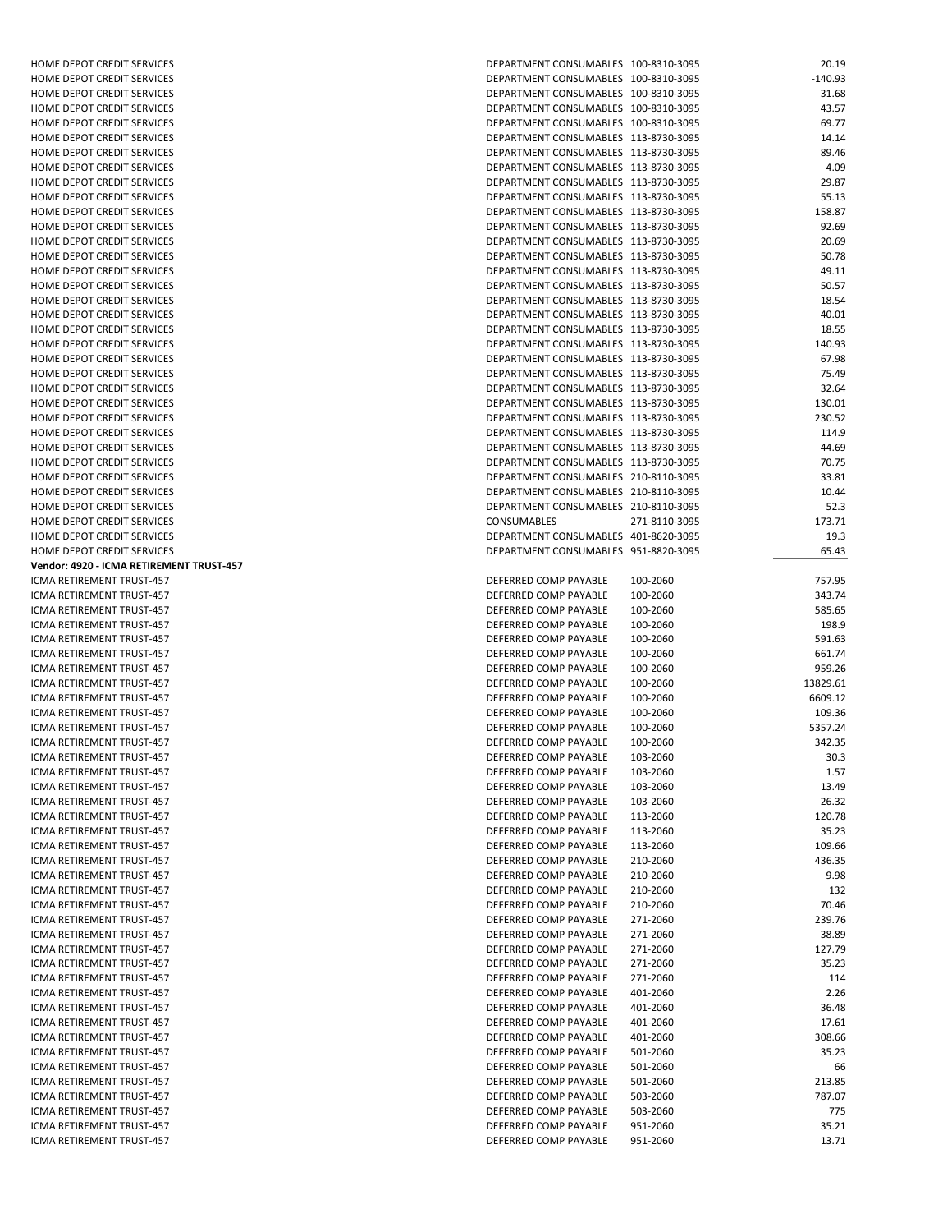| HOME DEPOT CREDIT SERVICES               | DEPARTMENT CONSUMABLES 100-8310-3095 |               | 20.19     |
|------------------------------------------|--------------------------------------|---------------|-----------|
| HOME DEPOT CREDIT SERVICES               | DEPARTMENT CONSUMABLES 100-8310-3095 |               |           |
|                                          |                                      |               | $-140.93$ |
| HOME DEPOT CREDIT SERVICES               | DEPARTMENT CONSUMABLES 100-8310-3095 |               | 31.68     |
| HOME DEPOT CREDIT SERVICES               | DEPARTMENT CONSUMABLES 100-8310-3095 |               | 43.57     |
| HOME DEPOT CREDIT SERVICES               | DEPARTMENT CONSUMABLES 100-8310-3095 |               | 69.77     |
| HOME DEPOT CREDIT SERVICES               | DEPARTMENT CONSUMABLES 113-8730-3095 |               | 14.14     |
| HOME DEPOT CREDIT SERVICES               | DEPARTMENT CONSUMABLES 113-8730-3095 |               | 89.46     |
| HOME DEPOT CREDIT SERVICES               | DEPARTMENT CONSUMABLES 113-8730-3095 |               | 4.09      |
| HOME DEPOT CREDIT SERVICES               | DEPARTMENT CONSUMABLES 113-8730-3095 |               | 29.87     |
|                                          |                                      |               |           |
| HOME DEPOT CREDIT SERVICES               | DEPARTMENT CONSUMABLES 113-8730-3095 |               | 55.13     |
| HOME DEPOT CREDIT SERVICES               | DEPARTMENT CONSUMABLES 113-8730-3095 |               | 158.87    |
| HOME DEPOT CREDIT SERVICES               | DEPARTMENT CONSUMABLES 113-8730-3095 |               | 92.69     |
| HOME DEPOT CREDIT SERVICES               | DEPARTMENT CONSUMABLES 113-8730-3095 |               | 20.69     |
| <b>HOME DEPOT CREDIT SERVICES</b>        | DEPARTMENT CONSUMABLES 113-8730-3095 |               | 50.78     |
| HOME DEPOT CREDIT SERVICES               | DEPARTMENT CONSUMABLES 113-8730-3095 |               | 49.11     |
| HOME DEPOT CREDIT SERVICES               | DEPARTMENT CONSUMABLES 113-8730-3095 |               | 50.57     |
| HOME DEPOT CREDIT SERVICES               | DEPARTMENT CONSUMABLES 113-8730-3095 |               | 18.54     |
|                                          |                                      |               |           |
| HOME DEPOT CREDIT SERVICES               | DEPARTMENT CONSUMABLES 113-8730-3095 |               | 40.01     |
| HOME DEPOT CREDIT SERVICES               | DEPARTMENT CONSUMABLES 113-8730-3095 |               | 18.55     |
| HOME DEPOT CREDIT SERVICES               | DEPARTMENT CONSUMABLES 113-8730-3095 |               | 140.93    |
| HOME DEPOT CREDIT SERVICES               | DEPARTMENT CONSUMABLES 113-8730-3095 |               | 67.98     |
| HOME DEPOT CREDIT SERVICES               | DEPARTMENT CONSUMABLES 113-8730-3095 |               | 75.49     |
| HOME DEPOT CREDIT SERVICES               | DEPARTMENT CONSUMABLES 113-8730-3095 |               | 32.64     |
| HOME DEPOT CREDIT SERVICES               | DEPARTMENT CONSUMABLES 113-8730-3095 |               | 130.01    |
|                                          | DEPARTMENT CONSUMABLES 113-8730-3095 |               | 230.52    |
| HOME DEPOT CREDIT SERVICES               |                                      |               |           |
| HOME DEPOT CREDIT SERVICES               | DEPARTMENT CONSUMABLES 113-8730-3095 |               | 114.9     |
| HOME DEPOT CREDIT SERVICES               | DEPARTMENT CONSUMABLES 113-8730-3095 |               | 44.69     |
| HOME DEPOT CREDIT SERVICES               | DEPARTMENT CONSUMABLES 113-8730-3095 |               | 70.75     |
| HOME DEPOT CREDIT SERVICES               | DEPARTMENT CONSUMABLES 210-8110-3095 |               | 33.81     |
| HOME DEPOT CREDIT SERVICES               | DEPARTMENT CONSUMABLES 210-8110-3095 |               | 10.44     |
| HOME DEPOT CREDIT SERVICES               | DEPARTMENT CONSUMABLES 210-8110-3095 |               | 52.3      |
| HOME DEPOT CREDIT SERVICES               | <b>CONSUMABLES</b>                   | 271-8110-3095 | 173.71    |
|                                          |                                      |               |           |
| HOME DEPOT CREDIT SERVICES               | DEPARTMENT CONSUMABLES 401-8620-3095 |               | 19.3      |
| HOME DEPOT CREDIT SERVICES               | DEPARTMENT CONSUMABLES 951-8820-3095 |               | 65.43     |
| Vendor: 4920 - ICMA RETIREMENT TRUST-457 |                                      |               |           |
| ICMA RETIREMENT TRUST-457                | DEFERRED COMP PAYABLE                | 100-2060      | 757.95    |
| ICMA RETIREMENT TRUST-457                | DEFERRED COMP PAYABLE                | 100-2060      | 343.74    |
| ICMA RETIREMENT TRUST-457                | DEFERRED COMP PAYABLE                | 100-2060      | 585.65    |
| ICMA RETIREMENT TRUST-457                | DEFERRED COMP PAYABLE                | 100-2060      | 198.9     |
| ICMA RETIREMENT TRUST-457                | DEFERRED COMP PAYABLE                | 100-2060      | 591.63    |
|                                          |                                      |               |           |
|                                          |                                      |               |           |
| ICMA RETIREMENT TRUST-457                | DEFERRED COMP PAYABLE                | 100-2060      | 661.74    |
| ICMA RETIREMENT TRUST-457                | DEFERRED COMP PAYABLE                | 100-2060      | 959.26    |
| ICMA RETIREMENT TRUST-457                | DEFERRED COMP PAYABLE                | 100-2060      | 13829.61  |
| ICMA RETIREMENT TRUST-457                | DEFERRED COMP PAYABLE                | 100-2060      | 6609.12   |
| ICMA RETIREMENT TRUST-457                | DEFERRED COMP PAYABLE                | 100-2060      | 109.36    |
| ICMA RETIREMENT TRUST-457                | DEFERRED COMP PAYABLE                | 100-2060      | 5357.24   |
|                                          |                                      |               |           |
| ICMA RETIREMENT TRUST-457                | DEFERRED COMP PAYABLE                | 100-2060      | 342.35    |
| ICMA RETIREMENT TRUST-457                | DEFERRED COMP PAYABLE                | 103-2060      | 30.3      |
| ICMA RETIREMENT TRUST-457                | DEFERRED COMP PAYABLE                | 103-2060      | 1.57      |
| ICMA RETIREMENT TRUST-457                | DEFERRED COMP PAYABLE                | 103-2060      | 13.49     |
| ICMA RETIREMENT TRUST-457                | DEFERRED COMP PAYABLE                | 103-2060      | 26.32     |
| ICMA RETIREMENT TRUST-457                | DEFERRED COMP PAYABLE                | 113-2060      | 120.78    |
| ICMA RETIREMENT TRUST-457                | DEFERRED COMP PAYABLE                | 113-2060      | 35.23     |
| ICMA RETIREMENT TRUST-457                | DEFERRED COMP PAYABLE                | 113-2060      | 109.66    |
|                                          |                                      |               |           |
| ICMA RETIREMENT TRUST-457                | DEFERRED COMP PAYABLE                | 210-2060      | 436.35    |
| ICMA RETIREMENT TRUST-457                | DEFERRED COMP PAYABLE                | 210-2060      | 9.98      |
| ICMA RETIREMENT TRUST-457                | DEFERRED COMP PAYABLE                | 210-2060      | 132       |
| ICMA RETIREMENT TRUST-457                | DEFERRED COMP PAYABLE                | 210-2060      | 70.46     |
| ICMA RETIREMENT TRUST-457                | DEFERRED COMP PAYABLE                | 271-2060      | 239.76    |
| ICMA RETIREMENT TRUST-457                | DEFERRED COMP PAYABLE                | 271-2060      | 38.89     |
| ICMA RETIREMENT TRUST-457                | DEFERRED COMP PAYABLE                |               | 127.79    |
|                                          |                                      | 271-2060      |           |
| ICMA RETIREMENT TRUST-457                | DEFERRED COMP PAYABLE                | 271-2060      | 35.23     |
| ICMA RETIREMENT TRUST-457                | DEFERRED COMP PAYABLE                | 271-2060      | 114       |
| ICMA RETIREMENT TRUST-457                | DEFERRED COMP PAYABLE                | 401-2060      | 2.26      |
| ICMA RETIREMENT TRUST-457                | DEFERRED COMP PAYABLE                | 401-2060      | 36.48     |
| ICMA RETIREMENT TRUST-457                | DEFERRED COMP PAYABLE                | 401-2060      | 17.61     |
| ICMA RETIREMENT TRUST-457                | DEFERRED COMP PAYABLE                | 401-2060      | 308.66    |
| ICMA RETIREMENT TRUST-457                | DEFERRED COMP PAYABLE                | 501-2060      | 35.23     |
|                                          |                                      |               |           |
| ICMA RETIREMENT TRUST-457                | DEFERRED COMP PAYABLE                | 501-2060      | 66        |
| ICMA RETIREMENT TRUST-457                | DEFERRED COMP PAYABLE                | 501-2060      | 213.85    |
| ICMA RETIREMENT TRUST-457                | DEFERRED COMP PAYABLE                | 503-2060      | 787.07    |
| ICMA RETIREMENT TRUST-457                | DEFERRED COMP PAYABLE                | 503-2060      | 775       |
| ICMA RETIREMENT TRUST-457                | DEFERRED COMP PAYABLE                | 951-2060      | 35.21     |

| DEPARTMENT CONSUMABLES               | 100-8310-3095 | 20.19    |
|--------------------------------------|---------------|----------|
| DEPARTMENT CONSUMABLES               | 100-8310-3095 | -140.93  |
| DEPARTMENT CONSUMABLES               | 100-8310-3095 |          |
|                                      |               | 31.68    |
| DEPARTMENT CONSUMABLES               | 100-8310-3095 | 43.57    |
| DEPARTMENT CONSUMABLES               | 100-8310-3095 | 69.77    |
| <b>DEPARTMENT CONSUMABLES</b>        | 113-8730-3095 | 14.14    |
|                                      |               |          |
| DEPARTMENT CONSUMABLES               | 113-8730-3095 | 89.46    |
| DEPARTMENT CONSUMABLES               | 113-8730-3095 | 4.09     |
| DEPARTMENT CONSUMABLES               | 113-8730-3095 | 29.87    |
|                                      |               |          |
| DEPARTMENT CONSUMABLES               | 113-8730-3095 | 55.13    |
| DEPARTMENT CONSUMABLES               | 113-8730-3095 | 158.87   |
| DEPARTMENT CONSUMABLES               | 113-8730-3095 | 92.69    |
| DEPARTMENT CONSUMABLES               | 113-8730-3095 | 20.69    |
|                                      |               |          |
| DEPARTMENT CONSUMABLES               | 113-8730-3095 | 50.78    |
| DEPARTMENT CONSUMABLES               | 113-8730-3095 | 49.11    |
| DEPARTMENT CONSUMABLES               | 113-8730-3095 | 50.57    |
|                                      |               |          |
| DEPARTMENT CONSUMABLES               | 113-8730-3095 | 18.54    |
| DEPARTMENT CONSUMABLES               | 113-8730-3095 | 40.01    |
| DEPARTMENT CONSUMABLES               | 113-8730-3095 | 18.55    |
| DEPARTMENT CONSUMABLES               | 113-8730-3095 | 140.93   |
|                                      |               |          |
| DEPARTMENT CONSUMABLES               | 113-8730-3095 | 67.98    |
| DEPARTMENT CONSUMABLES               | 113-8730-3095 | 75.49    |
| DEPARTMENT CONSUMABLES               | 113-8730-3095 | 32.64    |
|                                      | 113-8730-3095 |          |
| DEPARTMENT CONSUMABLES               |               | 130.01   |
| DEPARTMENT CONSUMABLES               | 113-8730-3095 | 230.52   |
| DEPARTMENT CONSUMABLES               | 113-8730-3095 | 114.9    |
| DEPARTMENT CONSUMABLES               | 113-8730-3095 | 44.69    |
|                                      |               |          |
| <b>DEPARTMENT CONSUMABLES</b>        | 113-8730-3095 | 70.75    |
| DEPARTMENT CONSUMABLES               | 210-8110-3095 | 33.81    |
| DEPARTMENT CONSUMABLES               | 210-8110-3095 | 10.44    |
|                                      |               |          |
| DEPARTMENT CONSUMABLES               | 210-8110-3095 | 52.3     |
| CONSUMABLES                          | 271-8110-3095 | 173.71   |
| DEPARTMENT CONSUMABLES 401-8620-3095 |               | 19.3     |
| DEPARTMENT CONSUMABLES               | 951-8820-3095 |          |
|                                      |               | 65.43    |
|                                      |               |          |
| DEFERRED COMP PAYABLE                | 100-2060      | 757.95   |
| DEFERRED COMP PAYABLE                | 100-2060      | 343.74   |
|                                      |               |          |
| DEFERRED COMP PAYABLE                | 100-2060      | 585.65   |
| DEFERRED COMP PAYABLE                | 100-2060      | 198.9    |
| DEFERRED COMP PAYABLE                | 100-2060      | 591.63   |
| DEFERRED COMP PAYABLE                | 100-2060      | 661.74   |
|                                      |               |          |
| DEFERRED COMP PAYABLE                | 100-2060      | 959.26   |
| DEFERRED COMP PAYABLE                | 100-2060      | 13829.61 |
| DEFERRED COMP PAYABLE                | 100-2060      | 6609.12  |
| DEFERRED COMP PAYABLE                |               |          |
|                                      | 100-2060      | 109.36   |
| DEFERRED COMP PAYABLE                | 100-2060      | 5357.24  |
| DEFERRED COMP PAYABLE                | 100-2060      | 342.35   |
| DEFERRED COMP PAYABLE                | 103-2060      | 30.3     |
|                                      |               |          |
| DEFERRED COMP PAYABLE                | 103-2060      | 1.57     |
| DEFERRED COMP PAYABLE                | 103-2060      | 13.49    |
| DEFERRED COMP PAYABLE                | 103-2060      | 26.32    |
| DEFERRED COMP PAYABLE                | 113-2060      | 120.78   |
|                                      |               |          |
| DEFERRED COMP PAYABLE                |               |          |
| DEFERRED COMP PAYABLE                | 113-2060      | 35.23    |
|                                      | 113-2060      | 109.66   |
|                                      |               |          |
| DEFERRED COMP PAYABLE                | 210-2060      | 436.35   |
| DEFERRED COMP PAYABLE                | 210-2060      | 9.98     |
| DEFERRED COMP PAYABLE                | 210-2060      | 132      |
| DEFERRED COMP PAYABLE                | 210-2060      | 70.46    |
|                                      |               |          |
| DEFERRED COMP PAYABLE                | 271-2060      | 239.76   |
| DEFERRED COMP PAYABLE                | 271-2060      | 38.89    |
| DEFERRED COMP PAYABLE                | 271-2060      | 127.79   |
| DEFERRED COMP PAYABLE                | 271-2060      | 35.23    |
|                                      |               |          |
| DEFERRED COMP PAYABLE                | 271-2060      | 114      |
| DEFERRED COMP PAYABLE                | 401-2060      | 2.26     |
| DEFERRED COMP PAYABLE                | 401-2060      | 36.48    |
| DEFERRED COMP PAYABLE                | 401-2060      | 17.61    |
|                                      |               |          |
| DEFERRED COMP PAYABLE                | 401-2060      | 308.66   |
| DEFERRED COMP PAYABLE                | 501-2060      | 35.23    |
| DEFERRED COMP PAYABLE                | 501-2060      | 66       |
| DEFERRED COMP PAYABLE                | 501-2060      | 213.85   |
|                                      |               |          |
| DEFERRED COMP PAYABLE                | 503-2060      | 787.07   |
| DEFERRED COMP PAYABLE                | 503-2060      | 775      |
| DEFERRED COMP PAYABLE                | 951-2060      | 35.21    |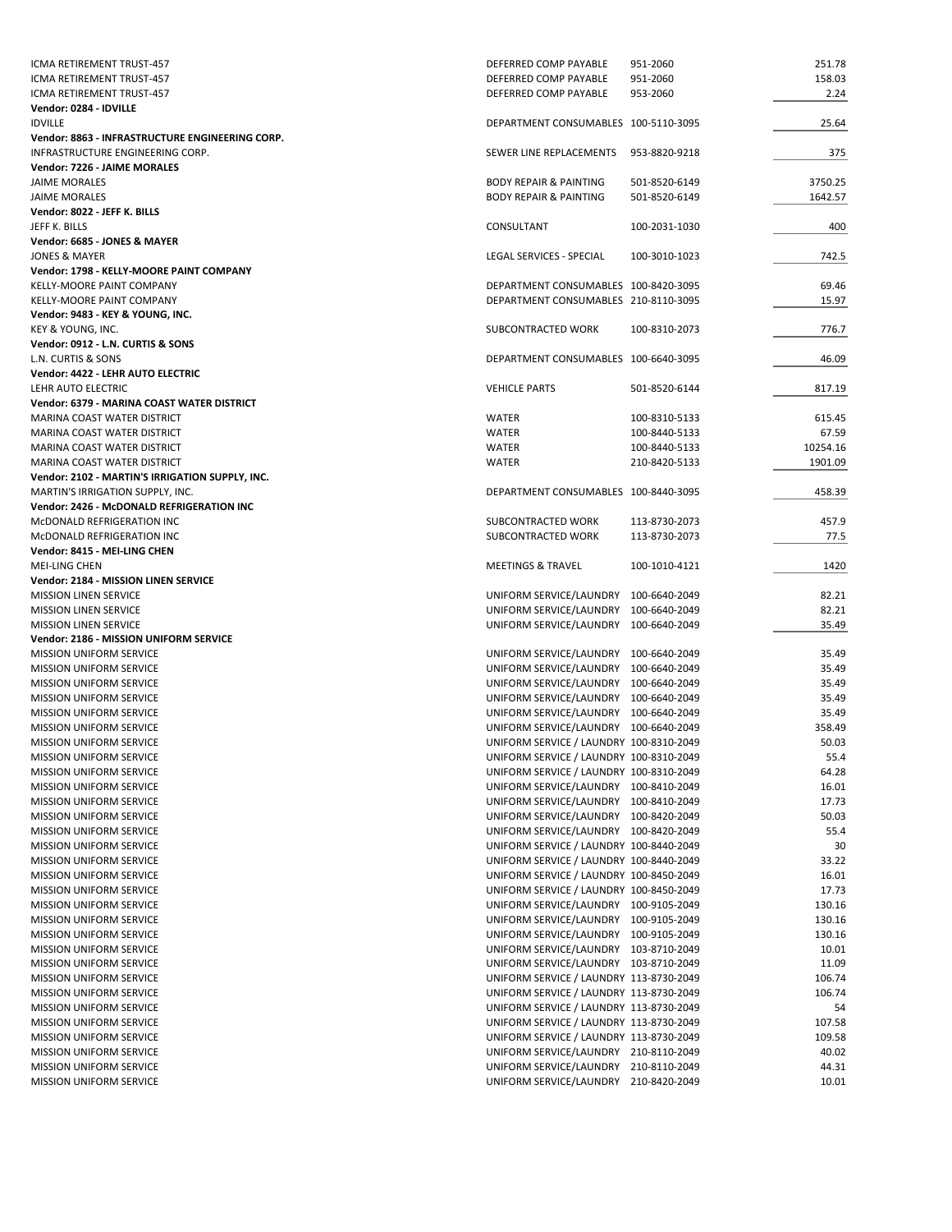| ICMA RETIREMENT TRUST-457                       | DEFERRED COMP PAYABLE                   | 951-2060      | 251.78   |
|-------------------------------------------------|-----------------------------------------|---------------|----------|
| ICMA RETIREMENT TRUST-457                       | DEFERRED COMP PAYABLE                   | 951-2060      | 158.03   |
| ICMA RETIREMENT TRUST-457                       | DEFERRED COMP PAYABLE                   | 953-2060      | 2.24     |
| Vendor: 0284 - IDVILLE                          |                                         |               |          |
| <b>IDVILLE</b>                                  | DEPARTMENT CONSUMABLES 100-5110-3095    |               | 25.64    |
| Vendor: 8863 - INFRASTRUCTURE ENGINEERING CORP. |                                         |               |          |
| INFRASTRUCTURE ENGINEERING CORP.                | SEWER LINE REPLACEMENTS                 | 953-8820-9218 | 375      |
| Vendor: 7226 - JAIME MORALES                    |                                         |               |          |
|                                                 |                                         |               |          |
| <b>JAIME MORALES</b>                            | <b>BODY REPAIR &amp; PAINTING</b>       | 501-8520-6149 | 3750.25  |
| <b>JAIME MORALES</b>                            | <b>BODY REPAIR &amp; PAINTING</b>       | 501-8520-6149 | 1642.57  |
| Vendor: 8022 - JEFF K. BILLS                    |                                         |               |          |
| JEFF K. BILLS                                   | CONSULTANT                              | 100-2031-1030 | 400      |
| Vendor: 6685 - JONES & MAYER                    |                                         |               |          |
| <b>JONES &amp; MAYER</b>                        | LEGAL SERVICES - SPECIAL                | 100-3010-1023 | 742.5    |
| Vendor: 1798 - KELLY-MOORE PAINT COMPANY        |                                         |               |          |
| KELLY-MOORE PAINT COMPANY                       | DEPARTMENT CONSUMABLES 100-8420-3095    |               | 69.46    |
| KELLY-MOORE PAINT COMPANY                       | DEPARTMENT CONSUMABLES 210-8110-3095    |               | 15.97    |
| Vendor: 9483 - KEY & YOUNG, INC.                |                                         |               |          |
|                                                 |                                         |               |          |
| KEY & YOUNG, INC.                               | SUBCONTRACTED WORK                      | 100-8310-2073 | 776.7    |
| Vendor: 0912 - L.N. CURTIS & SONS               |                                         |               |          |
| L.N. CURTIS & SONS                              | DEPARTMENT CONSUMABLES 100-6640-3095    |               | 46.09    |
| Vendor: 4422 - LEHR AUTO ELECTRIC               |                                         |               |          |
| LEHR AUTO ELECTRIC                              | <b>VEHICLE PARTS</b>                    | 501-8520-6144 | 817.19   |
| Vendor: 6379 - MARINA COAST WATER DISTRICT      |                                         |               |          |
| MARINA COAST WATER DISTRICT                     | WATER                                   | 100-8310-5133 | 615.45   |
| MARINA COAST WATER DISTRICT                     | WATER                                   | 100-8440-5133 | 67.59    |
| MARINA COAST WATER DISTRICT                     | <b>WATER</b>                            | 100-8440-5133 | 10254.16 |
|                                                 |                                         |               |          |
| MARINA COAST WATER DISTRICT                     | WATER                                   | 210-8420-5133 | 1901.09  |
| Vendor: 2102 - MARTIN'S IRRIGATION SUPPLY, INC. |                                         |               |          |
| MARTIN'S IRRIGATION SUPPLY, INC.                | DEPARTMENT CONSUMABLES 100-8440-3095    |               | 458.39   |
| Vendor: 2426 - McDONALD REFRIGERATION INC       |                                         |               |          |
| McDONALD REFRIGERATION INC                      | SUBCONTRACTED WORK                      | 113-8730-2073 | 457.9    |
| McDONALD REFRIGERATION INC                      | SUBCONTRACTED WORK                      | 113-8730-2073 | 77.5     |
| Vendor: 8415 - MEI-LING CHEN                    |                                         |               |          |
| MEI-LING CHEN                                   | <b>MEETINGS &amp; TRAVEL</b>            | 100-1010-4121 | 1420     |
| Vendor: 2184 - MISSION LINEN SERVICE            |                                         |               |          |
| <b>MISSION LINEN SERVICE</b>                    | UNIFORM SERVICE/LAUNDRY 100-6640-2049   |               | 82.21    |
|                                                 |                                         |               | 82.21    |
| <b>MISSION LINEN SERVICE</b>                    | UNIFORM SERVICE/LAUNDRY 100-6640-2049   |               |          |
| <b>MISSION LINEN SERVICE</b>                    | UNIFORM SERVICE/LAUNDRY 100-6640-2049   |               | 35.49    |
| Vendor: 2186 - MISSION UNIFORM SERVICE          |                                         |               |          |
| <b>MISSION UNIFORM SERVICE</b>                  | UNIFORM SERVICE/LAUNDRY 100-6640-2049   |               | 35.49    |
| MISSION UNIFORM SERVICE                         | UNIFORM SERVICE/LAUNDRY 100-6640-2049   |               | 35.49    |
| <b>MISSION UNIFORM SERVICE</b>                  | UNIFORM SERVICE/LAUNDRY 100-6640-2049   |               | 35.49    |
| <b>MISSION UNIFORM SERVICE</b>                  | UNIFORM SERVICE/LAUNDRY 100-6640-2049   |               | 35.49    |
| MISSION UNIFORM SERVICE                         | UNIFORM SERVICE/LAUNDRY 100-6640-2049   |               | 35.49    |
| MISSION UNIFORM SERVICE                         | UNIFORM SERVICE/LAUNDRY 100-6640-2049   |               | 358.49   |
| <b>MISSION UNIFORM SERVICE</b>                  | UNIFORM SERVICE / LAUNDRY 100-8310-2049 |               | 50.03    |
|                                                 |                                         |               |          |
| MISSION UNIFORM SERVICE                         | UNIFORM SERVICE / LAUNDRY 100-8310-2049 |               | 55.4     |
| MISSION UNIFORM SERVICE                         | UNIFORM SERVICE / LAUNDRY 100-8310-2049 |               | 64.28    |
| <b>MISSION UNIFORM SERVICE</b>                  | UNIFORM SERVICE/LAUNDRY 100-8410-2049   |               | 16.01    |
| <b>MISSION UNIFORM SERVICE</b>                  | UNIFORM SERVICE/LAUNDRY 100-8410-2049   |               | 17.73    |
| MISSION UNIFORM SERVICE                         | UNIFORM SERVICE/LAUNDRY 100-8420-2049   |               | 50.03    |
| MISSION UNIFORM SERVICE                         | UNIFORM SERVICE/LAUNDRY 100-8420-2049   |               | 55.4     |
| <b>MISSION UNIFORM SERVICE</b>                  | UNIFORM SERVICE / LAUNDRY 100-8440-2049 |               | 30       |
| MISSION UNIFORM SERVICE                         | UNIFORM SERVICE / LAUNDRY 100-8440-2049 |               | 33.22    |
| MISSION UNIFORM SERVICE                         | UNIFORM SERVICE / LAUNDRY 100-8450-2049 |               | 16.01    |
| <b>MISSION UNIFORM SERVICE</b>                  | UNIFORM SERVICE / LAUNDRY 100-8450-2049 |               | 17.73    |
|                                                 |                                         |               |          |
| <b>MISSION UNIFORM SERVICE</b>                  | UNIFORM SERVICE/LAUNDRY 100-9105-2049   |               | 130.16   |
| MISSION UNIFORM SERVICE                         | UNIFORM SERVICE/LAUNDRY 100-9105-2049   |               | 130.16   |
| MISSION UNIFORM SERVICE                         | UNIFORM SERVICE/LAUNDRY 100-9105-2049   |               | 130.16   |
| MISSION UNIFORM SERVICE                         | UNIFORM SERVICE/LAUNDRY 103-8710-2049   |               | 10.01    |
| MISSION UNIFORM SERVICE                         | UNIFORM SERVICE/LAUNDRY 103-8710-2049   |               | 11.09    |
| <b>MISSION UNIFORM SERVICE</b>                  | UNIFORM SERVICE / LAUNDRY 113-8730-2049 |               | 106.74   |
| MISSION UNIFORM SERVICE                         | UNIFORM SERVICE / LAUNDRY 113-8730-2049 |               | 106.74   |
| <b>MISSION UNIFORM SERVICE</b>                  | UNIFORM SERVICE / LAUNDRY 113-8730-2049 |               | 54       |
| <b>MISSION UNIFORM SERVICE</b>                  | UNIFORM SERVICE / LAUNDRY 113-8730-2049 |               | 107.58   |
| MISSION UNIFORM SERVICE                         | UNIFORM SERVICE / LAUNDRY 113-8730-2049 |               | 109.58   |
|                                                 |                                         |               |          |
| MISSION UNIFORM SERVICE                         | UNIFORM SERVICE/LAUNDRY 210-8110-2049   |               | 40.02    |
| MISSION UNIFORM SERVICE                         | UNIFORM SERVICE/LAUNDRY 210-8110-2049   |               | 44.31    |
| MISSION UNIFORM SERVICE                         | UNIFORM SERVICE/LAUNDRY 210-8420-2049   |               | 10.01    |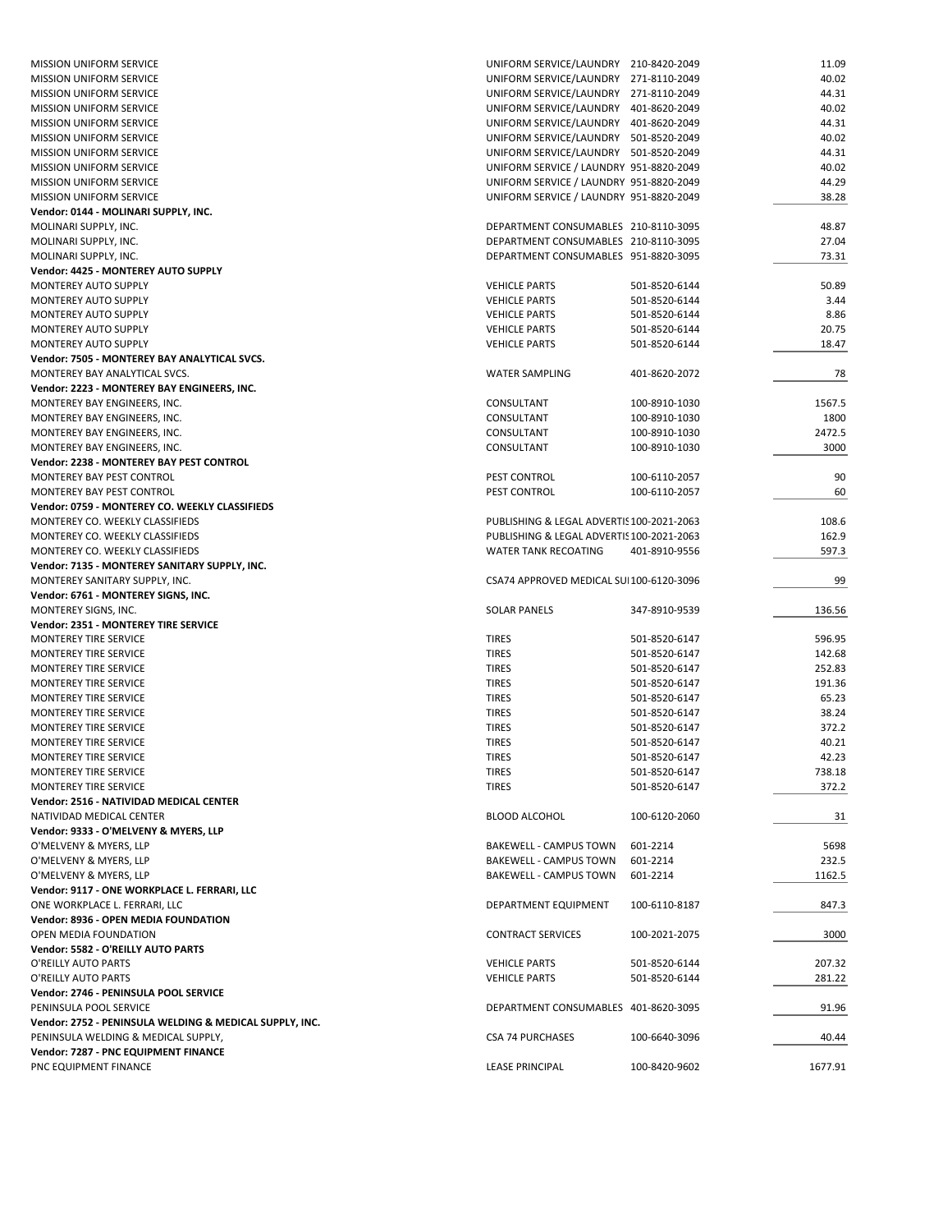| <b>MISSION UNIFORM SERVICE</b>                          | UNIFORM SERVICE/LAUNDRY 210-8420-2049     |               | 11.09   |
|---------------------------------------------------------|-------------------------------------------|---------------|---------|
| <b>MISSION UNIFORM SERVICE</b>                          | UNIFORM SERVICE/LAUNDRY 271-8110-2049     |               | 40.02   |
| <b>MISSION UNIFORM SERVICE</b>                          | UNIFORM SERVICE/LAUNDRY 271-8110-2049     |               | 44.31   |
| MISSION UNIFORM SERVICE                                 |                                           |               | 40.02   |
|                                                         | UNIFORM SERVICE/LAUNDRY 401-8620-2049     |               |         |
| <b>MISSION UNIFORM SERVICE</b>                          | UNIFORM SERVICE/LAUNDRY 401-8620-2049     |               | 44.31   |
| <b>MISSION UNIFORM SERVICE</b>                          | UNIFORM SERVICE/LAUNDRY 501-8520-2049     |               | 40.02   |
| MISSION UNIFORM SERVICE                                 | UNIFORM SERVICE/LAUNDRY 501-8520-2049     |               | 44.31   |
| MISSION UNIFORM SERVICE                                 | UNIFORM SERVICE / LAUNDRY 951-8820-2049   |               | 40.02   |
| <b>MISSION UNIFORM SERVICE</b>                          | UNIFORM SERVICE / LAUNDRY 951-8820-2049   |               | 44.29   |
| MISSION UNIFORM SERVICE                                 | UNIFORM SERVICE / LAUNDRY 951-8820-2049   |               | 38.28   |
| Vendor: 0144 - MOLINARI SUPPLY, INC.                    |                                           |               |         |
| MOLINARI SUPPLY, INC.                                   | DEPARTMENT CONSUMABLES 210-8110-3095      |               | 48.87   |
| MOLINARI SUPPLY, INC.                                   | DEPARTMENT CONSUMABLES 210-8110-3095      |               | 27.04   |
|                                                         |                                           |               |         |
| MOLINARI SUPPLY, INC.                                   | DEPARTMENT CONSUMABLES 951-8820-3095      |               | 73.31   |
| Vendor: 4425 - MONTEREY AUTO SUPPLY                     |                                           |               |         |
| MONTEREY AUTO SUPPLY                                    | <b>VEHICLE PARTS</b>                      | 501-8520-6144 | 50.89   |
| MONTEREY AUTO SUPPLY                                    | <b>VEHICLE PARTS</b>                      | 501-8520-6144 | 3.44    |
| MONTEREY AUTO SUPPLY                                    | <b>VEHICLE PARTS</b>                      | 501-8520-6144 | 8.86    |
| <b>MONTEREY AUTO SUPPLY</b>                             | <b>VEHICLE PARTS</b>                      | 501-8520-6144 | 20.75   |
| MONTEREY AUTO SUPPLY                                    | <b>VEHICLE PARTS</b>                      | 501-8520-6144 | 18.47   |
| Vendor: 7505 - MONTEREY BAY ANALYTICAL SVCS.            |                                           |               |         |
| MONTEREY BAY ANALYTICAL SVCS.                           | <b>WATER SAMPLING</b>                     | 401-8620-2072 | 78      |
|                                                         |                                           |               |         |
| Vendor: 2223 - MONTEREY BAY ENGINEERS, INC.             |                                           |               |         |
| MONTEREY BAY ENGINEERS, INC.                            | CONSULTANT                                | 100-8910-1030 | 1567.5  |
| MONTEREY BAY ENGINEERS, INC.                            | CONSULTANT                                | 100-8910-1030 | 1800    |
| MONTEREY BAY ENGINEERS, INC.                            | CONSULTANT                                | 100-8910-1030 | 2472.5  |
| MONTEREY BAY ENGINEERS, INC.                            | CONSULTANT                                | 100-8910-1030 | 3000    |
| <b>Vendor: 2238 - MONTEREY BAY PEST CONTROL</b>         |                                           |               |         |
| MONTEREY BAY PEST CONTROL                               | PEST CONTROL                              | 100-6110-2057 | 90      |
| MONTEREY BAY PEST CONTROL                               | PEST CONTROL                              | 100-6110-2057 | 60      |
|                                                         |                                           |               |         |
| Vendor: 0759 - MONTEREY CO. WEEKLY CLASSIFIEDS          |                                           |               |         |
| MONTEREY CO. WEEKLY CLASSIFIEDS                         | PUBLISHING & LEGAL ADVERTIS 100-2021-2063 |               | 108.6   |
| MONTEREY CO. WEEKLY CLASSIFIEDS                         | PUBLISHING & LEGAL ADVERTIS 100-2021-2063 |               | 162.9   |
| MONTEREY CO. WEEKLY CLASSIFIEDS                         | <b>WATER TANK RECOATING</b>               | 401-8910-9556 | 597.3   |
| Vendor: 7135 - MONTEREY SANITARY SUPPLY, INC.           |                                           |               |         |
| MONTEREY SANITARY SUPPLY, INC.                          | CSA74 APPROVED MEDICAL SUI100-6120-3096   |               | 99      |
| Vendor: 6761 - MONTEREY SIGNS, INC.                     |                                           |               |         |
| MONTEREY SIGNS, INC.                                    | <b>SOLAR PANELS</b>                       | 347-8910-9539 | 136.56  |
| Vendor: 2351 - MONTEREY TIRE SERVICE                    |                                           |               |         |
|                                                         |                                           |               |         |
| MONTEREY TIRE SERVICE                                   | <b>TIRES</b>                              | 501-8520-6147 | 596.95  |
| MONTEREY TIRE SERVICE                                   | <b>TIRES</b>                              | 501-8520-6147 | 142.68  |
| MONTEREY TIRE SERVICE                                   | <b>TIRES</b>                              | 501-8520-6147 | 252.83  |
| <b>MONTEREY TIRE SERVICE</b>                            | <b>TIRES</b>                              | 501-8520-6147 | 191.36  |
| MONTEREY TIRE SERVICE                                   | <b>TIRES</b>                              | 501-8520-6147 | 65.23   |
| MONTEREY TIRE SERVICE                                   | <b>TIRES</b>                              | 501-8520-6147 | 38.24   |
| MONTEREY TIRE SERVICE                                   | <b>TIRES</b>                              | 501-8520-6147 | 372.2   |
| <b>MONTEREY TIRE SERVICE</b>                            | <b>TIRES</b>                              | 501-8520-6147 | 40.21   |
| MONTEREY TIRE SERVICE                                   | <b>TIRES</b>                              | 501-8520-6147 | 42.23   |
|                                                         |                                           |               |         |
| MONTEREY TIRE SERVICE                                   | <b>TIRES</b>                              | 501-8520-6147 | 738.18  |
| <b>MONTEREY TIRE SERVICE</b>                            | <b>TIRES</b>                              | 501-8520-6147 | 372.2   |
| Vendor: 2516 - NATIVIDAD MEDICAL CENTER                 |                                           |               |         |
| NATIVIDAD MEDICAL CENTER                                | <b>BLOOD ALCOHOL</b>                      | 100-6120-2060 | 31      |
| Vendor: 9333 - O'MELVENY & MYERS, LLP                   |                                           |               |         |
| O'MELVENY & MYERS, LLP                                  |                                           |               | 5698    |
| O'MELVENY & MYERS, LLP                                  |                                           |               |         |
|                                                         | <b>BAKEWELL - CAMPUS TOWN</b>             | 601-2214      |         |
|                                                         | <b>BAKEWELL - CAMPUS TOWN</b>             | 601-2214      | 232.5   |
| O'MELVENY & MYERS, LLP                                  | <b>BAKEWELL - CAMPUS TOWN</b>             | 601-2214      | 1162.5  |
| Vendor: 9117 - ONE WORKPLACE L. FERRARI, LLC            |                                           |               |         |
| ONE WORKPLACE L. FERRARI, LLC                           | DEPARTMENT EQUIPMENT                      | 100-6110-8187 | 847.3   |
| Vendor: 8936 - OPEN MEDIA FOUNDATION                    |                                           |               |         |
| OPEN MEDIA FOUNDATION                                   | <b>CONTRACT SERVICES</b>                  | 100-2021-2075 | 3000    |
| Vendor: 5582 - O'REILLY AUTO PARTS                      |                                           |               |         |
| O'REILLY AUTO PARTS                                     | <b>VEHICLE PARTS</b>                      | 501-8520-6144 | 207.32  |
|                                                         |                                           |               |         |
| O'REILLY AUTO PARTS                                     | <b>VEHICLE PARTS</b>                      | 501-8520-6144 | 281.22  |
| Vendor: 2746 - PENINSULA POOL SERVICE                   |                                           |               |         |
| PENINSULA POOL SERVICE                                  | DEPARTMENT CONSUMABLES 401-8620-3095      |               | 91.96   |
| Vendor: 2752 - PENINSULA WELDING & MEDICAL SUPPLY, INC. |                                           |               |         |
| PENINSULA WELDING & MEDICAL SUPPLY,                     | <b>CSA 74 PURCHASES</b>                   | 100-6640-3096 | 40.44   |
| Vendor: 7287 - PNC EQUIPMENT FINANCE                    |                                           |               |         |
| PNC EQUIPMENT FINANCE                                   | <b>LEASE PRINCIPAL</b>                    | 100-8420-9602 | 1677.91 |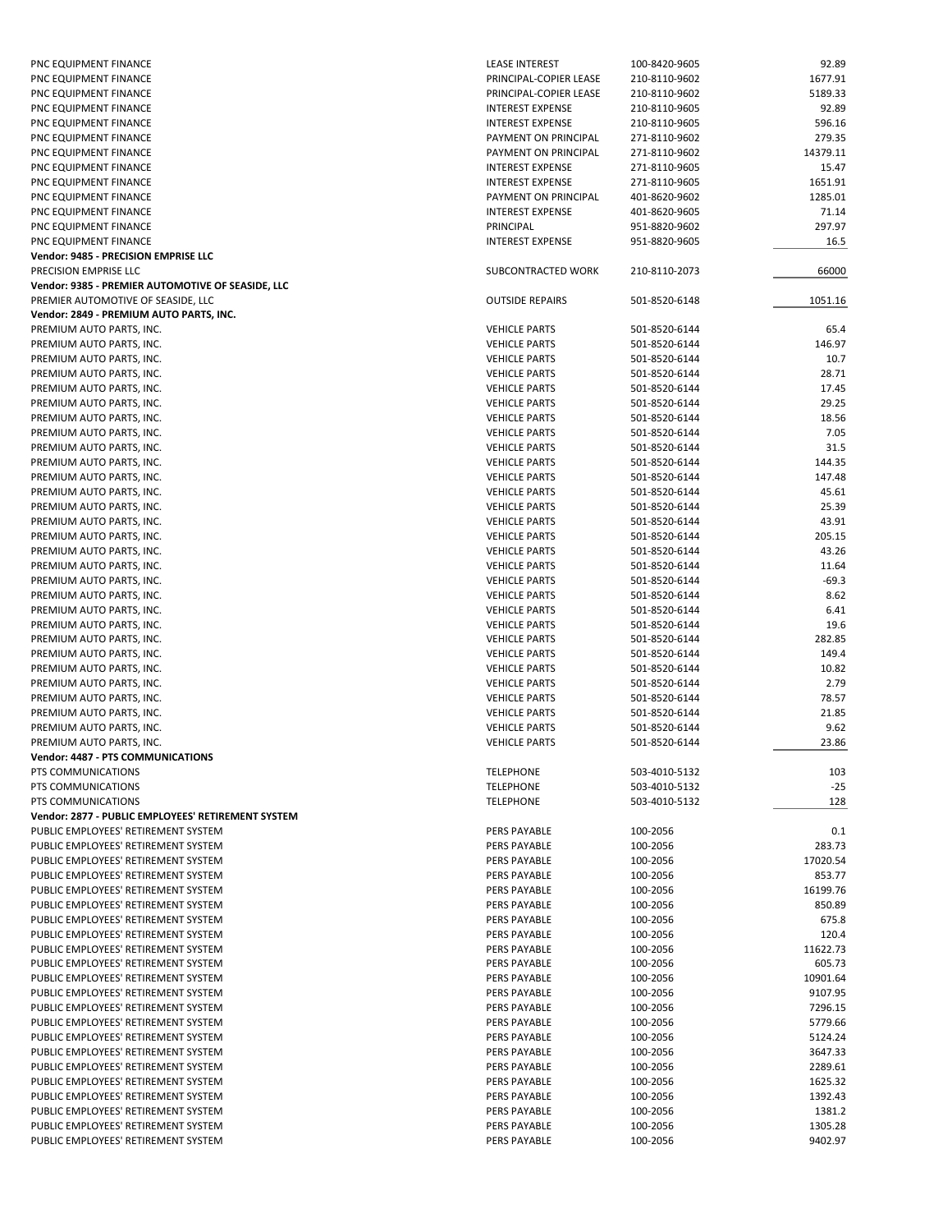| PNC EQUIPMENT FINANCE                              | <b>LEASE INTEREST</b>   | 100-8420-9605 | 92.89    |
|----------------------------------------------------|-------------------------|---------------|----------|
| PNC EQUIPMENT FINANCE                              | PRINCIPAL-COPIER LEASE  | 210-8110-9602 | 1677.91  |
| PNC EQUIPMENT FINANCE                              | PRINCIPAL-COPIER LEASE  | 210-8110-9602 | 5189.33  |
| PNC EQUIPMENT FINANCE                              | <b>INTEREST EXPENSE</b> | 210-8110-9605 | 92.89    |
| PNC EQUIPMENT FINANCE                              | <b>INTEREST EXPENSE</b> | 210-8110-9605 | 596.16   |
| PNC EQUIPMENT FINANCE                              | PAYMENT ON PRINCIPAL    |               | 279.35   |
|                                                    |                         | 271-8110-9602 |          |
| PNC EQUIPMENT FINANCE                              | PAYMENT ON PRINCIPAL    | 271-8110-9602 | 14379.11 |
| PNC EQUIPMENT FINANCE                              | <b>INTEREST EXPENSE</b> | 271-8110-9605 | 15.47    |
| PNC EQUIPMENT FINANCE                              | <b>INTEREST EXPENSE</b> | 271-8110-9605 | 1651.91  |
| PNC EQUIPMENT FINANCE                              | PAYMENT ON PRINCIPAL    | 401-8620-9602 | 1285.01  |
| PNC EQUIPMENT FINANCE                              | <b>INTEREST EXPENSE</b> | 401-8620-9605 | 71.14    |
| PNC EQUIPMENT FINANCE                              | PRINCIPAL               | 951-8820-9602 | 297.97   |
| PNC EQUIPMENT FINANCE                              | <b>INTEREST EXPENSE</b> | 951-8820-9605 | 16.5     |
| Vendor: 9485 - PRECISION EMPRISE LLC               |                         |               |          |
| PRECISION EMPRISE LLC                              |                         |               |          |
|                                                    | SUBCONTRACTED WORK      | 210-8110-2073 | 66000    |
| Vendor: 9385 - PREMIER AUTOMOTIVE OF SEASIDE, LLC  |                         |               |          |
| PREMIER AUTOMOTIVE OF SEASIDE, LLC                 | <b>OUTSIDE REPAIRS</b>  | 501-8520-6148 | 1051.16  |
| Vendor: 2849 - PREMIUM AUTO PARTS, INC.            |                         |               |          |
| PREMIUM AUTO PARTS, INC.                           | <b>VEHICLE PARTS</b>    | 501-8520-6144 | 65.4     |
| PREMIUM AUTO PARTS, INC.                           | <b>VEHICLE PARTS</b>    | 501-8520-6144 | 146.97   |
| PREMIUM AUTO PARTS, INC.                           | <b>VEHICLE PARTS</b>    | 501-8520-6144 | 10.7     |
| PREMIUM AUTO PARTS, INC.                           | <b>VEHICLE PARTS</b>    | 501-8520-6144 | 28.71    |
| PREMIUM AUTO PARTS, INC.                           | <b>VEHICLE PARTS</b>    | 501-8520-6144 | 17.45    |
|                                                    | <b>VEHICLE PARTS</b>    |               | 29.25    |
| PREMIUM AUTO PARTS, INC.                           |                         | 501-8520-6144 |          |
| PREMIUM AUTO PARTS, INC.                           | <b>VEHICLE PARTS</b>    | 501-8520-6144 | 18.56    |
| PREMIUM AUTO PARTS, INC.                           | <b>VEHICLE PARTS</b>    | 501-8520-6144 | 7.05     |
| PREMIUM AUTO PARTS, INC.                           | <b>VEHICLE PARTS</b>    | 501-8520-6144 | 31.5     |
| PREMIUM AUTO PARTS, INC.                           | <b>VEHICLE PARTS</b>    | 501-8520-6144 | 144.35   |
| PREMIUM AUTO PARTS, INC.                           | <b>VEHICLE PARTS</b>    | 501-8520-6144 | 147.48   |
| PREMIUM AUTO PARTS, INC.                           | <b>VEHICLE PARTS</b>    | 501-8520-6144 | 45.61    |
| PREMIUM AUTO PARTS, INC.                           | <b>VEHICLE PARTS</b>    | 501-8520-6144 | 25.39    |
| PREMIUM AUTO PARTS, INC.                           | <b>VEHICLE PARTS</b>    | 501-8520-6144 | 43.91    |
|                                                    |                         |               |          |
| PREMIUM AUTO PARTS, INC.                           | <b>VEHICLE PARTS</b>    | 501-8520-6144 | 205.15   |
| PREMIUM AUTO PARTS, INC.                           | <b>VEHICLE PARTS</b>    | 501-8520-6144 | 43.26    |
| PREMIUM AUTO PARTS, INC.                           | <b>VEHICLE PARTS</b>    | 501-8520-6144 | 11.64    |
| PREMIUM AUTO PARTS, INC.                           | <b>VEHICLE PARTS</b>    | 501-8520-6144 | $-69.3$  |
| PREMIUM AUTO PARTS, INC.                           | <b>VEHICLE PARTS</b>    | 501-8520-6144 | 8.62     |
| PREMIUM AUTO PARTS, INC.                           | <b>VEHICLE PARTS</b>    | 501-8520-6144 | 6.41     |
| PREMIUM AUTO PARTS, INC.                           | <b>VEHICLE PARTS</b>    | 501-8520-6144 | 19.6     |
| PREMIUM AUTO PARTS, INC.                           | <b>VEHICLE PARTS</b>    | 501-8520-6144 | 282.85   |
| PREMIUM AUTO PARTS, INC.                           | <b>VEHICLE PARTS</b>    | 501-8520-6144 | 149.4    |
|                                                    |                         |               |          |
| PREMIUM AUTO PARTS, INC.                           | <b>VEHICLE PARTS</b>    | 501-8520-6144 | 10.82    |
| PREMIUM AUTO PARTS, INC.                           | <b>VEHICLE PARTS</b>    | 501-8520-6144 | 2.79     |
| PREMIUM AUTO PARTS, INC.                           | <b>VEHICLE PARTS</b>    | 501-8520-6144 | 78.57    |
| PREMIUM AUTO PARTS, INC.                           | <b>VEHICLE PARTS</b>    | 501-8520-6144 | 21.85    |
| PREMIUM AUTO PARTS, INC.                           | <b>VEHICLE PARTS</b>    | 501-8520-6144 | 9.62     |
| PREMIUM AUTO PARTS, INC.                           | <b>VEHICLE PARTS</b>    | 501-8520-6144 | 23.86    |
| Vendor: 4487 - PTS COMMUNICATIONS                  |                         |               |          |
| PTS COMMUNICATIONS                                 | <b>TELEPHONE</b>        | 503-4010-5132 | 103      |
| PTS COMMUNICATIONS                                 | <b>TELEPHONE</b>        | 503-4010-5132 | $-25$    |
|                                                    |                         | 503-4010-5132 |          |
| PTS COMMUNICATIONS                                 | <b>TELEPHONE</b>        |               | 128      |
| Vendor: 2877 - PUBLIC EMPLOYEES' RETIREMENT SYSTEM |                         |               |          |
| PUBLIC EMPLOYEES' RETIREMENT SYSTEM                | PERS PAYABLE            | 100-2056      | 0.1      |
| PUBLIC EMPLOYEES' RETIREMENT SYSTEM                | PERS PAYABLE            | 100-2056      | 283.73   |
| PUBLIC EMPLOYEES' RETIREMENT SYSTEM                | PERS PAYABLE            | 100-2056      | 17020.54 |
| PUBLIC EMPLOYEES' RETIREMENT SYSTEM                | PERS PAYABLE            | 100-2056      | 853.77   |
| PUBLIC EMPLOYEES' RETIREMENT SYSTEM                | PERS PAYABLE            | 100-2056      | 16199.76 |
| PUBLIC EMPLOYEES' RETIREMENT SYSTEM                | PERS PAYABLE            | 100-2056      | 850.89   |
| PUBLIC EMPLOYEES' RETIREMENT SYSTEM                | PERS PAYABLE            | 100-2056      | 675.8    |
|                                                    |                         |               |          |
| PUBLIC EMPLOYEES' RETIREMENT SYSTEM                | PERS PAYABLE            | 100-2056      | 120.4    |
| PUBLIC EMPLOYEES' RETIREMENT SYSTEM                | PERS PAYABLE            | 100-2056      | 11622.73 |
| PUBLIC EMPLOYEES' RETIREMENT SYSTEM                | PERS PAYABLE            | 100-2056      | 605.73   |
| PUBLIC EMPLOYEES' RETIREMENT SYSTEM                | PERS PAYABLE            | 100-2056      | 10901.64 |
| PUBLIC EMPLOYEES' RETIREMENT SYSTEM                | PERS PAYABLE            | 100-2056      | 9107.95  |
| PUBLIC EMPLOYEES' RETIREMENT SYSTEM                | PERS PAYABLE            | 100-2056      | 7296.15  |
| PUBLIC EMPLOYEES' RETIREMENT SYSTEM                | PERS PAYABLE            | 100-2056      | 5779.66  |
| PUBLIC EMPLOYEES' RETIREMENT SYSTEM                | PERS PAYABLE            | 100-2056      | 5124.24  |
|                                                    |                         |               |          |
| PUBLIC EMPLOYEES' RETIREMENT SYSTEM                | PERS PAYABLE            | 100-2056      | 3647.33  |
| PUBLIC EMPLOYEES' RETIREMENT SYSTEM                | PERS PAYABLE            | 100-2056      | 2289.61  |
| PUBLIC EMPLOYEES' RETIREMENT SYSTEM                | PERS PAYABLE            | 100-2056      | 1625.32  |
| PUBLIC EMPLOYEES' RETIREMENT SYSTEM                | PERS PAYABLE            | 100-2056      | 1392.43  |
| PUBLIC EMPLOYEES' RETIREMENT SYSTEM                | PERS PAYABLE            | 100-2056      | 1381.2   |
| PUBLIC EMPLOYEES' RETIREMENT SYSTEM                | PERS PAYABLE            | 100-2056      | 1305.28  |
| PUBLIC EMPLOYEES' RETIREMENT SYSTEM                | PERS PAYABLE            | 100-2056      | 9402.97  |
|                                                    |                         |               |          |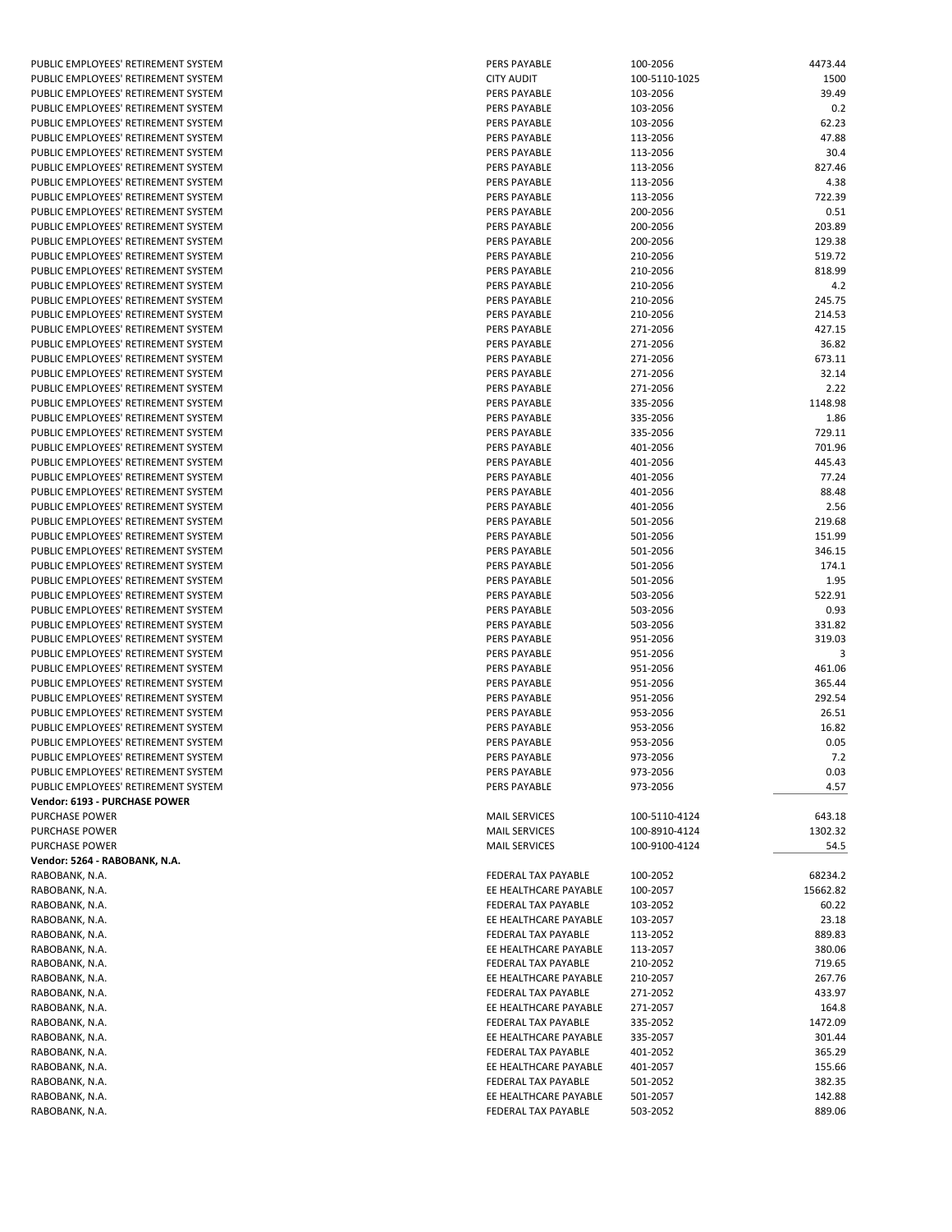| PUBLIC EMPLOYEES' RETIREMENT SYSTEM     |
|-----------------------------------------|
| PUBLIC EMPLOYEES' RETIREMENT SYSTEM     |
|                                         |
| PUBLIC EMPLOYEES' RETIREMENT SYSTEM     |
| PUBLIC EMPLOYEES' RETIREMENT SYSTEM     |
| PUBLIC EMPLOYEES' RETIREMENT SYSTEM     |
| PUBLIC EMPLOYEES' RETIREMENT SYSTEM     |
| PUBLIC EMPLOYEES' RETIREMENT SYSTEM     |
|                                         |
| PUBLIC EMPLOYEES' RETIREMENT SYSTEM     |
| PUBLIC EMPLOYEES' RETIREMENT SYSTEM     |
| PUBLIC EMPLOYEES' RETIREMENT SYSTEM     |
|                                         |
| PUBLIC EMPLOYEES' RETIREMENT SYSTEM     |
| PUBLIC EMPLOYEES' RETIREMENT SYSTEM     |
| PUBLIC EMPLOYEES' RETIREMENT SYSTEM     |
| PUBLIC EMPLOYEES' RETIREMENT SYSTEM     |
| PUBLIC EMPLOYEES' RETIREMENT SYSTEM     |
|                                         |
| PUBLIC EMPLOYEES' RETIREMENT SYSTEM     |
| PUBLIC EMPLOYEES' RETIREMENT SYSTEM     |
| PUBLIC EMPLOYEES' RETIREMENT SYSTEM     |
| PUBLIC EMPLOYEES' RETIREMENT SYSTEM     |
|                                         |
| PUBLIC EMPLOYEES' RETIREMENT SYSTEM     |
| PUBLIC EMPLOYEES' RETIREMENT SYSTEM     |
| PUBLIC EMPLOYEES' RETIREMENT SYSTEM     |
| PUBLIC EMPLOYEES' RETIREMENT SYSTEM     |
| PUBLIC EMPLOYEES' RETIREMENT SYSTEM     |
|                                         |
| PUBLIC EMPLOYEES' RETIREMENT SYSTEM     |
| PUBLIC EMPLOYEES' RETIREMENT SYSTEM     |
| PUBLIC EMPLOYEES' RETIREMENT SYSTEM     |
| PUBLIC EMPLOYEES' RETIREMENT SYSTEM     |
| PUBLIC EMPLOYEES' RETIREMENT SYSTEM     |
|                                         |
| PUBLIC EMPLOYEES' RETIREMENT SYSTEM     |
| PUBLIC EMPLOYEES' RETIREMENT SYSTEM     |
| PUBLIC EMPLOYEES' RETIREMENT SYSTEM     |
| PUBLIC EMPLOYEES' RETIREMENT SYSTEM     |
| PUBLIC EMPLOYEES' RETIREMENT SYSTEM     |
|                                         |
| PUBLIC EMPLOYEES' RETIREMENT SYSTEM     |
|                                         |
| PUBLIC EMPLOYEES' RETIREMENT SYSTEM     |
| PUBLIC EMPLOYEES' RETIREMENT SYSTEM     |
|                                         |
| PUBLIC EMPLOYEES' RETIREMENT SYSTEM     |
| PUBLIC EMPLOYEES' RETIREMENT SYSTEM     |
| PUBLIC EMPLOYEES' RETIREMENT SYSTEM     |
| PUBLIC EMPLOYEES' RETIREMENT SYSTEM     |
| PUBLIC EMPLOYEES' RETIREMENT SYSTEM     |
|                                         |
| PUBLIC EMPLOYEES' RETIREMENT SYSTEM     |
| PUBLIC EMPLOYEES' RETIREMENT SYSTEM     |
| PUBLIC EMPLOYEES' RETIREMENT SYSTEM     |
| PUBLIC EMPLOYEES' RETIREMENT SYSTEM     |
| PUBLIC EMPLOYEES' RETIREMENT SYSTEM     |
|                                         |
| PUBLIC EMPLOYEES' RETIREMENT SYSTEM     |
| PUBLIC EMPLOYEES' RETIREMENT SYSTEM     |
| Vendor: 6193 - PURCHASE POWER           |
|                                         |
| PURCHASE POWER                          |
|                                         |
| <b>PURCHASE POWER</b><br>PURCHASE POWER |
| Vendor: 5264 - RABOBANK, N.A.           |
| RABOBANK, N.A.                          |
|                                         |
| RABOBANK, N.A.                          |
|                                         |
| RABOBANK, N.A.<br>RABOBANK, N.A.        |
| RABOBANK, N.A.                          |
| RABOBANK, N.A.                          |
| RABOBANK, N.A.                          |
| RABOBANK, N.A.                          |
|                                         |
| RABOBANK, N.A.                          |
| RABOBANK, N.A.                          |
| RABOBANK, N.A.                          |
| RABOBANK, N.A.                          |
| RABOBANK, N.A.                          |
|                                         |
| RABOBANK, N.A.                          |
| RABOBANK, N.A.                          |
| RABOBANK, N.A.<br>RABOBANK, N.A.        |

| PUBLIC EMPLOYEES' RETIREMENT SYSTEM | PERS PAYABLE          | 100-2056      | 4473.44  |
|-------------------------------------|-----------------------|---------------|----------|
| PUBLIC EMPLOYEES' RETIREMENT SYSTEM | <b>CITY AUDIT</b>     | 100-5110-1025 | 1500     |
| PUBLIC EMPLOYEES' RETIREMENT SYSTEM | <b>PERS PAYABLE</b>   | 103-2056      | 39.49    |
|                                     |                       |               |          |
| PUBLIC EMPLOYEES' RETIREMENT SYSTEM | PERS PAYABLE          | 103-2056      | 0.2      |
| PUBLIC EMPLOYEES' RETIREMENT SYSTEM | <b>PERS PAYABLE</b>   | 103-2056      | 62.23    |
| PUBLIC EMPLOYEES' RETIREMENT SYSTEM | <b>PERS PAYABLE</b>   | 113-2056      | 47.88    |
| PUBLIC EMPLOYEES' RETIREMENT SYSTEM | <b>PERS PAYABLE</b>   | 113-2056      | 30.4     |
| PUBLIC EMPLOYEES' RETIREMENT SYSTEM | <b>PERS PAYABLE</b>   | 113-2056      | 827.46   |
|                                     |                       |               |          |
| PUBLIC EMPLOYEES' RETIREMENT SYSTEM | <b>PERS PAYABLE</b>   | 113-2056      | 4.38     |
| PUBLIC EMPLOYEES' RETIREMENT SYSTEM | <b>PERS PAYABLE</b>   | 113-2056      | 722.39   |
| PUBLIC EMPLOYEES' RETIREMENT SYSTEM | <b>PERS PAYABLE</b>   | 200-2056      | 0.51     |
| PUBLIC EMPLOYEES' RETIREMENT SYSTEM | <b>PERS PAYABLE</b>   | 200-2056      | 203.89   |
| PUBLIC EMPLOYEES' RETIREMENT SYSTEM | <b>PERS PAYABLE</b>   | 200-2056      | 129.38   |
|                                     | <b>PERS PAYABLE</b>   |               |          |
| PUBLIC EMPLOYEES' RETIREMENT SYSTEM |                       | 210-2056      | 519.72   |
| PUBLIC EMPLOYEES' RETIREMENT SYSTEM | PERS PAYABLE          | 210-2056      | 818.99   |
| PUBLIC EMPLOYEES' RETIREMENT SYSTEM | PERS PAYABLE          | 210-2056      | 4.2      |
| PUBLIC EMPLOYEES' RETIREMENT SYSTEM | <b>PERS PAYABLE</b>   | 210-2056      | 245.75   |
| PUBLIC EMPLOYEES' RETIREMENT SYSTEM | PERS PAYABLE          | 210-2056      | 214.53   |
| PUBLIC EMPLOYEES' RETIREMENT SYSTEM | PERS PAYABLE          | 271-2056      | 427.15   |
|                                     |                       |               |          |
| PUBLIC EMPLOYEES' RETIREMENT SYSTEM | <b>PERS PAYABLE</b>   | 271-2056      | 36.82    |
| PUBLIC EMPLOYEES' RETIREMENT SYSTEM | <b>PERS PAYABLE</b>   | 271-2056      | 673.11   |
| PUBLIC EMPLOYEES' RETIREMENT SYSTEM | <b>PERS PAYABLE</b>   | 271-2056      | 32.14    |
| PUBLIC EMPLOYEES' RETIREMENT SYSTEM | <b>PERS PAYABLE</b>   | 271-2056      | 2.22     |
| PUBLIC EMPLOYEES' RETIREMENT SYSTEM | <b>PERS PAYABLE</b>   | 335-2056      | 1148.98  |
|                                     |                       |               |          |
| PUBLIC EMPLOYEES' RETIREMENT SYSTEM | <b>PERS PAYABLE</b>   | 335-2056      | 1.86     |
| PUBLIC EMPLOYEES' RETIREMENT SYSTEM | <b>PERS PAYABLE</b>   | 335-2056      | 729.11   |
| PUBLIC EMPLOYEES' RETIREMENT SYSTEM | <b>PERS PAYABLE</b>   | 401-2056      | 701.96   |
| PUBLIC EMPLOYEES' RETIREMENT SYSTEM | PERS PAYABLE          | 401-2056      | 445.43   |
| PUBLIC EMPLOYEES' RETIREMENT SYSTEM | PERS PAYABLE          | 401-2056      | 77.24    |
|                                     | PERS PAYABLE          |               |          |
| PUBLIC EMPLOYEES' RETIREMENT SYSTEM |                       | 401-2056      | 88.48    |
| PUBLIC EMPLOYEES' RETIREMENT SYSTEM | <b>PERS PAYABLE</b>   | 401-2056      | 2.56     |
| PUBLIC EMPLOYEES' RETIREMENT SYSTEM | PERS PAYABLE          | 501-2056      | 219.68   |
| PUBLIC EMPLOYEES' RETIREMENT SYSTEM | PERS PAYABLE          | 501-2056      | 151.99   |
| PUBLIC EMPLOYEES' RETIREMENT SYSTEM | <b>PERS PAYABLE</b>   | 501-2056      | 346.15   |
| PUBLIC EMPLOYEES' RETIREMENT SYSTEM | PERS PAYABLE          | 501-2056      | 174.1    |
|                                     |                       |               |          |
| PUBLIC EMPLOYEES' RETIREMENT SYSTEM | <b>PERS PAYABLE</b>   | 501-2056      | 1.95     |
| PUBLIC EMPLOYEES' RETIREMENT SYSTEM | <b>PERS PAYABLE</b>   | 503-2056      | 522.91   |
| PUBLIC EMPLOYEES' RETIREMENT SYSTEM | PERS PAYABLE          | 503-2056      | 0.93     |
| PUBLIC EMPLOYEES' RETIREMENT SYSTEM | <b>PERS PAYABLE</b>   | 503-2056      | 331.82   |
| PUBLIC EMPLOYEES' RETIREMENT SYSTEM | <b>PERS PAYABLE</b>   | 951-2056      | 319.03   |
| PUBLIC EMPLOYEES' RETIREMENT SYSTEM | PERS PAYABLE          | 951-2056      | 3        |
|                                     |                       |               |          |
| PUBLIC EMPLOYEES' RETIREMENT SYSTEM | <b>PERS PAYABLE</b>   | 951-2056      | 461.06   |
| PUBLIC EMPLOYEES' RETIREMENT SYSTEM | PERS PAYABLE          | 951-2056      | 365.44   |
| PUBLIC EMPLOYEES' RETIREMENT SYSTEM | <b>PERS PAYABLE</b>   | 951-2056      | 292.54   |
| PUBLIC EMPLOYEES' RETIREMENT SYSTEM | <b>PERS PAYABLE</b>   | 953-2056      | 26.51    |
| PUBLIC EMPLOYEES' RETIREMENT SYSTEM | PERS PAYABLE          | 953-2056      | 16.82    |
| PUBLIC EMPLOYEES' RETIREMENT SYSTEM | PERS PAYABLE          | 953-2056      | 0.05     |
|                                     |                       |               |          |
| PUBLIC EMPLOYEES' RETIREMENT SYSTEM | PERS PAYABLE          | 973-2056      | 7.2      |
| PUBLIC EMPLOYEES' RETIREMENT SYSTEM | PERS PAYABLE          | 973-2056      | 0.03     |
| PUBLIC EMPLOYEES' RETIREMENT SYSTEM | PERS PAYABLE          | 973-2056      | 4.57     |
| Vendor: 6193 - PURCHASE POWER       |                       |               |          |
| <b>PURCHASE POWER</b>               | <b>MAIL SERVICES</b>  | 100-5110-4124 | 643.18   |
|                                     |                       |               |          |
| PURCHASE POWER                      | <b>MAIL SERVICES</b>  | 100-8910-4124 | 1302.32  |
| PURCHASE POWER                      | <b>MAIL SERVICES</b>  | 100-9100-4124 | 54.5     |
| Vendor: 5264 - RABOBANK, N.A.       |                       |               |          |
| RABOBANK, N.A.                      | FEDERAL TAX PAYABLE   | 100-2052      | 68234.2  |
| RABOBANK, N.A.                      | EE HEALTHCARE PAYABLE | 100-2057      | 15662.82 |
| RABOBANK, N.A.                      | FEDERAL TAX PAYABLE   | 103-2052      | 60.22    |
|                                     |                       |               |          |
| RABOBANK, N.A.                      | EE HEALTHCARE PAYABLE | 103-2057      | 23.18    |
| RABOBANK, N.A.                      | FEDERAL TAX PAYABLE   | 113-2052      | 889.83   |
| RABOBANK, N.A.                      | EE HEALTHCARE PAYABLE | 113-2057      | 380.06   |
| RABOBANK, N.A.                      | FEDERAL TAX PAYABLE   | 210-2052      | 719.65   |
| RABOBANK, N.A.                      | EE HEALTHCARE PAYABLE | 210-2057      | 267.76   |
| RABOBANK, N.A.                      | FEDERAL TAX PAYABLE   | 271-2052      | 433.97   |
|                                     |                       |               |          |
| RABOBANK, N.A.                      | EE HEALTHCARE PAYABLE | 271-2057      | 164.8    |
| RABOBANK, N.A.                      | FEDERAL TAX PAYABLE   | 335-2052      | 1472.09  |
| RABOBANK, N.A.                      | EE HEALTHCARE PAYABLE | 335-2057      | 301.44   |
| RABOBANK, N.A.                      | FEDERAL TAX PAYABLE   | 401-2052      | 365.29   |
| RABOBANK, N.A.                      | EE HEALTHCARE PAYABLE | 401-2057      | 155.66   |
| RABOBANK, N.A.                      | FEDERAL TAX PAYABLE   | 501-2052      | 382.35   |
|                                     |                       |               |          |
| RABOBANK, N.A.                      | EE HEALTHCARE PAYABLE | 501-2057      | 142.88   |
| RABOBANK, N.A.                      | FEDERAL TAX PAYABLE   | 503-2052      | 889.06   |
|                                     |                       |               |          |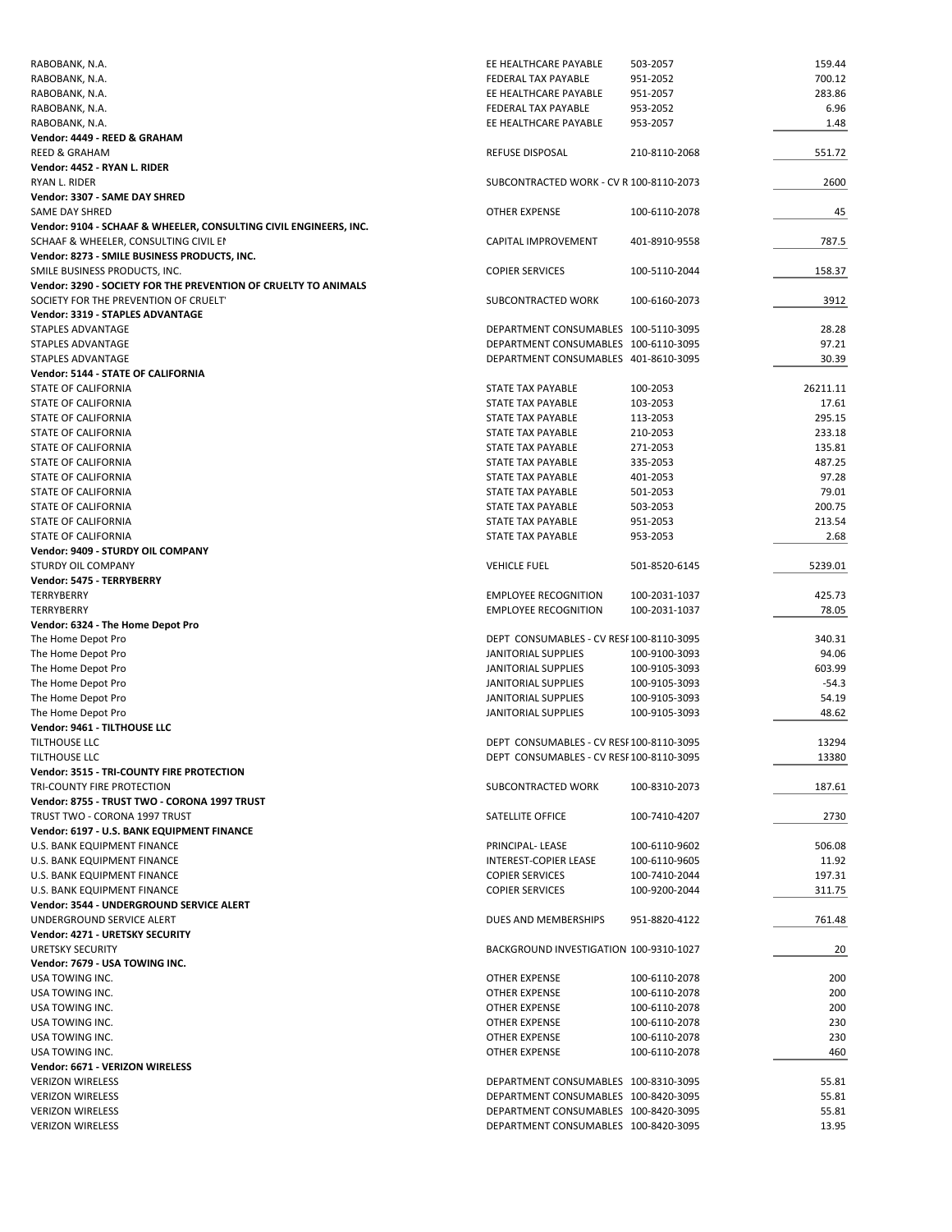| RABOBANK, N.A.                                                    | EE HEALTHCARE PAYABLE                   | 503-2057      | 159.44   |
|-------------------------------------------------------------------|-----------------------------------------|---------------|----------|
| RABOBANK, N.A.                                                    | FEDERAL TAX PAYABLE                     | 951-2052      | 700.12   |
| RABOBANK, N.A.                                                    | EE HEALTHCARE PAYABLE                   | 951-2057      | 283.86   |
| RABOBANK, N.A.                                                    | <b>FEDERAL TAX PAYABLE</b>              | 953-2052      | 6.96     |
| RABOBANK, N.A.                                                    | EE HEALTHCARE PAYABLE                   | 953-2057      | 1.48     |
| Vendor: 4449 - REED & GRAHAM                                      |                                         |               |          |
| <b>REED &amp; GRAHAM</b>                                          | <b>REFUSE DISPOSAL</b>                  | 210-8110-2068 | 551.72   |
| Vendor: 4452 - RYAN L. RIDER                                      |                                         |               |          |
| RYAN L. RIDER                                                     | SUBCONTRACTED WORK - CV R 100-8110-2073 |               | 2600     |
| Vendor: 3307 - SAME DAY SHRED                                     |                                         |               |          |
| SAME DAY SHRED                                                    | <b>OTHER EXPENSE</b>                    | 100-6110-2078 | 45       |
|                                                                   |                                         |               |          |
| Vendor: 9104 - SCHAAF & WHEELER, CONSULTING CIVIL ENGINEERS, INC. |                                         |               |          |
| SCHAAF & WHEELER, CONSULTING CIVIL EN                             | CAPITAL IMPROVEMENT                     | 401-8910-9558 | 787.5    |
| Vendor: 8273 - SMILE BUSINESS PRODUCTS, INC.                      |                                         |               |          |
| SMILE BUSINESS PRODUCTS, INC.                                     | <b>COPIER SERVICES</b>                  | 100-5110-2044 | 158.37   |
| Vendor: 3290 - SOCIETY FOR THE PREVENTION OF CRUELTY TO ANIMALS   |                                         |               |          |
| SOCIETY FOR THE PREVENTION OF CRUELT                              | SUBCONTRACTED WORK                      | 100-6160-2073 | 3912     |
| Vendor: 3319 - STAPLES ADVANTAGE                                  |                                         |               |          |
| STAPLES ADVANTAGE                                                 | DEPARTMENT CONSUMABLES 100-5110-3095    |               | 28.28    |
| STAPLES ADVANTAGE                                                 | DEPARTMENT CONSUMABLES 100-6110-3095    |               | 97.21    |
| STAPLES ADVANTAGE                                                 | DEPARTMENT CONSUMABLES 401-8610-3095    |               | 30.39    |
| Vendor: 5144 - STATE OF CALIFORNIA                                |                                         |               |          |
| <b>STATE OF CALIFORNIA</b>                                        | STATE TAX PAYABLE                       | 100-2053      | 26211.11 |
| <b>STATE OF CALIFORNIA</b>                                        | STATE TAX PAYABLE                       | 103-2053      | 17.61    |
| STATE OF CALIFORNIA                                               | STATE TAX PAYABLE                       | 113-2053      | 295.15   |
| <b>STATE OF CALIFORNIA</b>                                        | STATE TAX PAYABLE                       | 210-2053      | 233.18   |
| STATE OF CALIFORNIA                                               | STATE TAX PAYABLE                       | 271-2053      | 135.81   |
| STATE OF CALIFORNIA                                               | STATE TAX PAYABLE                       | 335-2053      | 487.25   |
| STATE OF CALIFORNIA                                               | STATE TAX PAYABLE                       | 401-2053      | 97.28    |
|                                                                   |                                         |               |          |
| STATE OF CALIFORNIA                                               | STATE TAX PAYABLE                       | 501-2053      | 79.01    |
| STATE OF CALIFORNIA                                               | STATE TAX PAYABLE                       | 503-2053      | 200.75   |
| STATE OF CALIFORNIA                                               | STATE TAX PAYABLE                       | 951-2053      | 213.54   |
| STATE OF CALIFORNIA                                               | STATE TAX PAYABLE                       | 953-2053      | 2.68     |
| Vendor: 9409 - STURDY OIL COMPANY                                 |                                         |               |          |
| <b>STURDY OIL COMPANY</b>                                         | <b>VEHICLE FUEL</b>                     | 501-8520-6145 | 5239.01  |
| Vendor: 5475 - TERRYBERRY                                         |                                         |               |          |
| TERRYBERRY                                                        | <b>EMPLOYEE RECOGNITION</b>             | 100-2031-1037 | 425.73   |
| TERRYBERRY                                                        | <b>EMPLOYEE RECOGNITION</b>             | 100-2031-1037 | 78.05    |
| Vendor: 6324 - The Home Depot Pro                                 |                                         |               |          |
| The Home Depot Pro                                                | DEPT CONSUMABLES - CV RESF100-8110-3095 |               | 340.31   |
| The Home Depot Pro                                                | JANITORIAL SUPPLIES                     | 100-9100-3093 | 94.06    |
| The Home Depot Pro                                                | <b>JANITORIAL SUPPLIES</b>              | 100-9105-3093 | 603.99   |
| The Home Depot Pro                                                | JANITORIAL SUPPLIES                     | 100-9105-3093 | $-54.3$  |
| The Home Depot Pro                                                | JANITORIAL SUPPLIES                     | 100-9105-3093 | 54.19    |
| The Home Depot Pro                                                | <b>JANITORIAL SUPPLIES</b>              | 100-9105-3093 | 48.62    |
| Vendor: 9461 - TILTHOUSE LLC                                      |                                         |               |          |
|                                                                   |                                         |               |          |
| TILTHOUSE LLC                                                     | DEPT CONSUMABLES - CV RESF100-8110-3095 |               | 13294    |
| TILTHOUSE LLC                                                     | DEPT CONSUMABLES - CV RESF100-8110-3095 |               | 13380    |
| Vendor: 3515 - TRI-COUNTY FIRE PROTECTION                         |                                         |               |          |
| TRI-COUNTY FIRE PROTECTION                                        | SUBCONTRACTED WORK                      | 100-8310-2073 | 187.61   |
| Vendor: 8755 - TRUST TWO - CORONA 1997 TRUST                      |                                         |               |          |
| TRUST TWO - CORONA 1997 TRUST                                     | SATELLITE OFFICE                        | 100-7410-4207 | 2730     |
| Vendor: 6197 - U.S. BANK EQUIPMENT FINANCE                        |                                         |               |          |
| U.S. BANK EQUIPMENT FINANCE                                       | PRINCIPAL-LEASE                         | 100-6110-9602 | 506.08   |
| U.S. BANK EQUIPMENT FINANCE                                       | <b>INTEREST-COPIER LEASE</b>            | 100-6110-9605 | 11.92    |
| U.S. BANK EQUIPMENT FINANCE                                       | <b>COPIER SERVICES</b>                  | 100-7410-2044 | 197.31   |
| U.S. BANK EQUIPMENT FINANCE                                       | <b>COPIER SERVICES</b>                  | 100-9200-2044 | 311.75   |
| Vendor: 3544 - UNDERGROUND SERVICE ALERT                          |                                         |               |          |
| UNDERGROUND SERVICE ALERT                                         | DUES AND MEMBERSHIPS                    | 951-8820-4122 | 761.48   |
| Vendor: 4271 - URETSKY SECURITY                                   |                                         |               |          |
| <b>URETSKY SECURITY</b>                                           | BACKGROUND INVESTIGATION 100-9310-1027  |               | 20       |
|                                                                   |                                         |               |          |
| Vendor: 7679 - USA TOWING INC.                                    |                                         |               |          |
| USA TOWING INC.                                                   | OTHER EXPENSE                           | 100-6110-2078 | 200      |
| USA TOWING INC.                                                   | OTHER EXPENSE                           | 100-6110-2078 | 200      |
| USA TOWING INC.                                                   | OTHER EXPENSE                           | 100-6110-2078 | 200      |
| USA TOWING INC.                                                   | OTHER EXPENSE                           | 100-6110-2078 | 230      |
| USA TOWING INC.                                                   | OTHER EXPENSE                           | 100-6110-2078 | 230      |
| USA TOWING INC.                                                   | OTHER EXPENSE                           | 100-6110-2078 | 460      |
| Vendor: 6671 - VERIZON WIRELESS                                   |                                         |               |          |
| <b>VERIZON WIRELESS</b>                                           | DEPARTMENT CONSUMABLES 100-8310-3095    |               | 55.81    |
| <b>VERIZON WIRELESS</b>                                           | DEPARTMENT CONSUMABLES 100-8420-3095    |               | 55.81    |
| <b>VERIZON WIRELESS</b>                                           | DEPARTMENT CONSUMABLES 100-8420-3095    |               | 55.81    |
| <b>VERIZON WIRELESS</b>                                           | DEPARTMENT CONSUMABLES 100-8420-3095    |               | 13.95    |
|                                                                   |                                         |               |          |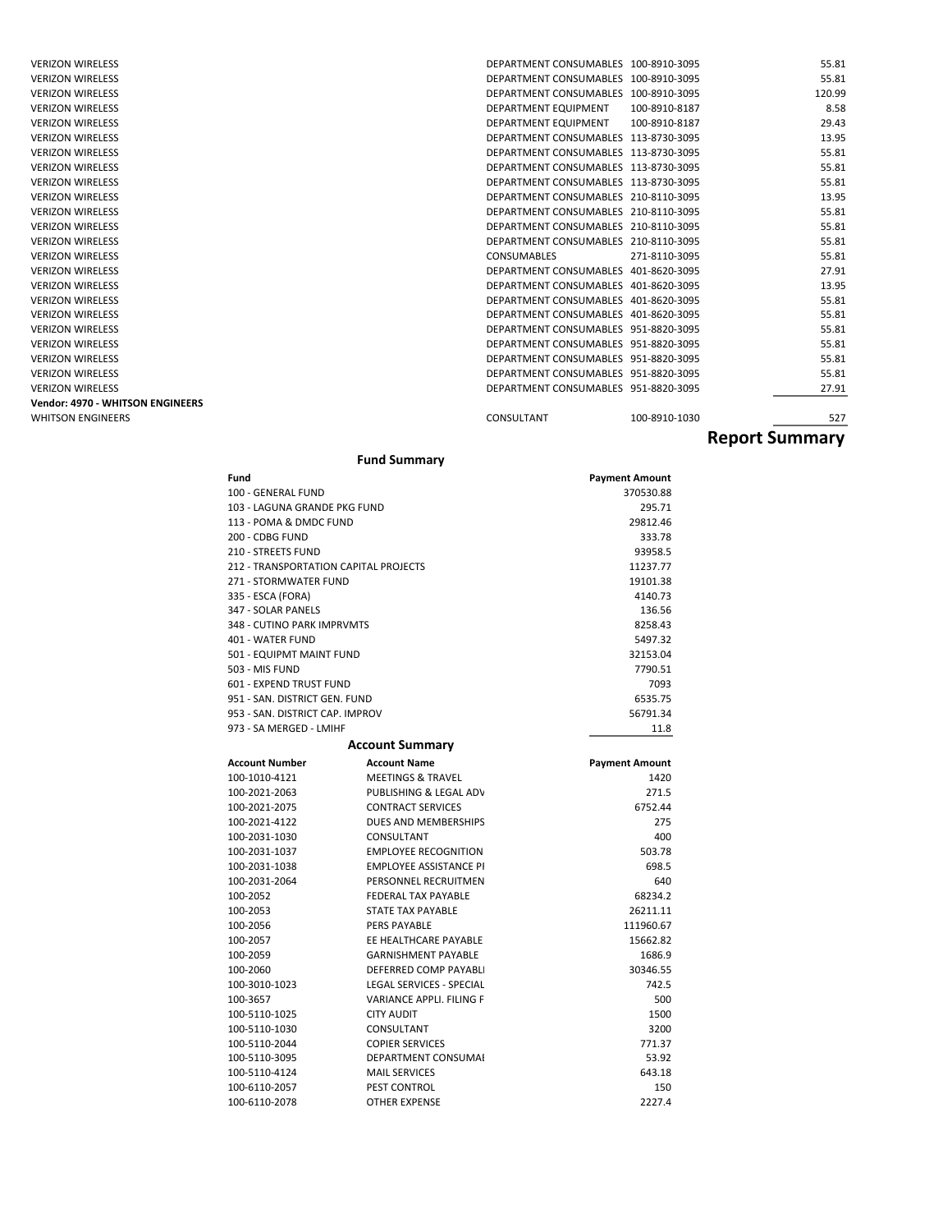| <b>VERIZON WIRELESS</b><br>DEPARTMENT CONSUMABLES 100-8910-3095<br><b>VERIZON WIRELESS</b><br>DEPARTMENT CONSUMABLES 100-8910-3095<br><b>VERIZON WIRELESS</b><br>DEPARTMENT CONSUMABLES 100-8910-3095<br>8.58<br><b>VERIZON WIRELESS</b><br>DEPARTMENT EQUIPMENT<br>100-8910-8187<br>DEPARTMENT EQUIPMENT<br>29.43<br><b>VERIZON WIRELESS</b><br>100-8910-8187<br>13.95<br>DEPARTMENT CONSUMABLES 113-8730-3095<br><b>VERIZON WIRELESS</b><br><b>VERIZON WIRELESS</b><br>DEPARTMENT CONSUMABLES 113-8730-3095<br>55.81<br>DEPARTMENT CONSUMABLES 113-8730-3095<br><b>VERIZON WIRELESS</b><br><b>VERIZON WIRELESS</b><br>DEPARTMENT CONSUMABLES 113-8730-3095<br>DEPARTMENT CONSUMABLES 210-8110-3095<br><b>VERIZON WIRELESS</b><br><b>VERIZON WIRELESS</b><br>DEPARTMENT CONSUMABLES 210-8110-3095<br>DEPARTMENT CONSUMABLES 210-8110-3095<br><b>VERIZON WIRELESS</b><br><b>VERIZON WIRELESS</b><br>DEPARTMENT CONSUMABLES 210-8110-3095<br>55.81<br><b>VERIZON WIRELESS</b><br><b>CONSUMABLES</b><br>271-8110-3095<br><b>VERIZON WIRELESS</b><br>DEPARTMENT CONSUMABLES 401-8620-3095<br><b>VERIZON WIRELESS</b><br>DEPARTMENT CONSUMABLES 401-8620-3095 | <b>VERIZON WIRELESS</b><br><b>VERIZON WIRELESS</b> | DEPARTMENT CONSUMABLES 401-8620-3095<br>DEPARTMENT CONSUMABLES 401-8620-3095 | 55.81<br>55.81 |
|-----------------------------------------------------------------------------------------------------------------------------------------------------------------------------------------------------------------------------------------------------------------------------------------------------------------------------------------------------------------------------------------------------------------------------------------------------------------------------------------------------------------------------------------------------------------------------------------------------------------------------------------------------------------------------------------------------------------------------------------------------------------------------------------------------------------------------------------------------------------------------------------------------------------------------------------------------------------------------------------------------------------------------------------------------------------------------------------------------------------------------------------------------------|----------------------------------------------------|------------------------------------------------------------------------------|----------------|
|                                                                                                                                                                                                                                                                                                                                                                                                                                                                                                                                                                                                                                                                                                                                                                                                                                                                                                                                                                                                                                                                                                                                                           |                                                    |                                                                              | 13.95          |
|                                                                                                                                                                                                                                                                                                                                                                                                                                                                                                                                                                                                                                                                                                                                                                                                                                                                                                                                                                                                                                                                                                                                                           |                                                    |                                                                              | 27.91          |
|                                                                                                                                                                                                                                                                                                                                                                                                                                                                                                                                                                                                                                                                                                                                                                                                                                                                                                                                                                                                                                                                                                                                                           |                                                    |                                                                              | 55.81          |
|                                                                                                                                                                                                                                                                                                                                                                                                                                                                                                                                                                                                                                                                                                                                                                                                                                                                                                                                                                                                                                                                                                                                                           |                                                    |                                                                              | 55.81          |
|                                                                                                                                                                                                                                                                                                                                                                                                                                                                                                                                                                                                                                                                                                                                                                                                                                                                                                                                                                                                                                                                                                                                                           |                                                    |                                                                              | 55.81          |
|                                                                                                                                                                                                                                                                                                                                                                                                                                                                                                                                                                                                                                                                                                                                                                                                                                                                                                                                                                                                                                                                                                                                                           |                                                    |                                                                              | 13.95          |
|                                                                                                                                                                                                                                                                                                                                                                                                                                                                                                                                                                                                                                                                                                                                                                                                                                                                                                                                                                                                                                                                                                                                                           |                                                    |                                                                              | 55.81          |
|                                                                                                                                                                                                                                                                                                                                                                                                                                                                                                                                                                                                                                                                                                                                                                                                                                                                                                                                                                                                                                                                                                                                                           |                                                    |                                                                              | 55.81          |
|                                                                                                                                                                                                                                                                                                                                                                                                                                                                                                                                                                                                                                                                                                                                                                                                                                                                                                                                                                                                                                                                                                                                                           |                                                    |                                                                              |                |
|                                                                                                                                                                                                                                                                                                                                                                                                                                                                                                                                                                                                                                                                                                                                                                                                                                                                                                                                                                                                                                                                                                                                                           |                                                    |                                                                              |                |
|                                                                                                                                                                                                                                                                                                                                                                                                                                                                                                                                                                                                                                                                                                                                                                                                                                                                                                                                                                                                                                                                                                                                                           |                                                    |                                                                              |                |
|                                                                                                                                                                                                                                                                                                                                                                                                                                                                                                                                                                                                                                                                                                                                                                                                                                                                                                                                                                                                                                                                                                                                                           |                                                    |                                                                              |                |
|                                                                                                                                                                                                                                                                                                                                                                                                                                                                                                                                                                                                                                                                                                                                                                                                                                                                                                                                                                                                                                                                                                                                                           |                                                    |                                                                              | 120.99         |
|                                                                                                                                                                                                                                                                                                                                                                                                                                                                                                                                                                                                                                                                                                                                                                                                                                                                                                                                                                                                                                                                                                                                                           |                                                    |                                                                              | 55.81          |
|                                                                                                                                                                                                                                                                                                                                                                                                                                                                                                                                                                                                                                                                                                                                                                                                                                                                                                                                                                                                                                                                                                                                                           |                                                    |                                                                              | 55.81          |

### **Fund Summary**

| Fund                                  |                                 | <b>Payment Amount</b> |
|---------------------------------------|---------------------------------|-----------------------|
| 100 - GENERAL FUND                    |                                 | 370530.88             |
| 103 - LAGUNA GRANDE PKG FUND          |                                 | 295.71                |
| 113 - POMA & DMDC FUND                |                                 | 29812.46              |
| 200 - CDBG FUND                       |                                 | 333.78                |
| 210 - STREETS FUND                    |                                 | 93958.5               |
| 212 - TRANSPORTATION CAPITAL PROJECTS |                                 | 11237.77              |
| 271 - STORMWATER FUND                 |                                 | 19101.38              |
| 335 - ESCA (FORA)                     |                                 | 4140.73               |
| 347 - SOLAR PANELS                    |                                 | 136.56                |
| 348 - CUTINO PARK IMPRVMTS            |                                 | 8258.43               |
| 401 - WATER FUND                      |                                 | 5497.32               |
| 501 - EQUIPMT MAINT FUND              |                                 | 32153.04              |
| 503 - MIS FUND                        |                                 | 7790.51               |
| 601 - EXPEND TRUST FUND               |                                 | 7093                  |
| 951 - SAN, DISTRICT GEN, FUND         |                                 | 6535.75               |
| 953 - SAN, DISTRICT CAP, IMPROV       |                                 | 56791.34              |
| 973 - SA MERGED - LMIHF               |                                 | 11.8                  |
|                                       | <b>Account Summary</b>          |                       |
| <b>Account Number</b>                 | <b>Account Name</b>             | <b>Payment Amount</b> |
| 100-1010-4121                         | <b>MEETINGS &amp; TRAVEL</b>    | 1420                  |
| 100-2021-2063                         | PUBLISHING & LEGAL ADV          | 271.5                 |
| 100-2021-2075                         | <b>CONTRACT SERVICES</b>        | 6752.44               |
| 100-2021-4122                         | DUES AND MEMBERSHIPS            | 275                   |
| 100-2031-1030                         | CONSULTANT                      | 400                   |
| 100-2031-1037                         | <b>EMPLOYEE RECOGNITION</b>     | 503.78                |
| 100-2031-1038                         | <b>EMPLOYEE ASSISTANCE PI</b>   | 698.5                 |
| 100-2031-2064                         | PERSONNEL RECRUITMEN            | 640                   |
| 100-2052                              | <b>FEDERAL TAX PAYABLE</b>      | 68234.2               |
| 100-2053                              | <b>STATE TAX PAYABLE</b>        | 26211.11              |
| 100-2056                              | PERS PAYABLE                    | 111960.67             |
| 100-2057                              | EE HEALTHCARE PAYABLE           | 15662.82              |
| 100-2059                              | <b>GARNISHMENT PAYABLE</b>      | 1686.9                |
| 100-2060                              | DEFERRED COMP PAYABLI           | 30346.55              |
| 100-3010-1023                         | <b>LEGAL SERVICES - SPECIAL</b> | 742.5                 |
| 100-3657                              | <b>VARIANCE APPLI. FILING F</b> | 500                   |
| 100-5110-1025                         | <b>CITY AUDIT</b>               | 1500                  |
| 100-5110-1030                         | CONSULTANT                      | 3200                  |
| 100-5110-2044                         | <b>COPIER SERVICES</b>          | 771.37                |
| 100-5110-3095                         | DEPARTMENT CONSUMAI             | 53.92                 |
| 100-5110-4124                         | <b>MAIL SERVICES</b>            | 643.18                |
| 100-6110-2057                         | <b>PEST CONTROL</b>             | 150                   |
| 100-6110-2078                         | <b>OTHER EXPENSE</b>            | 2227.4                |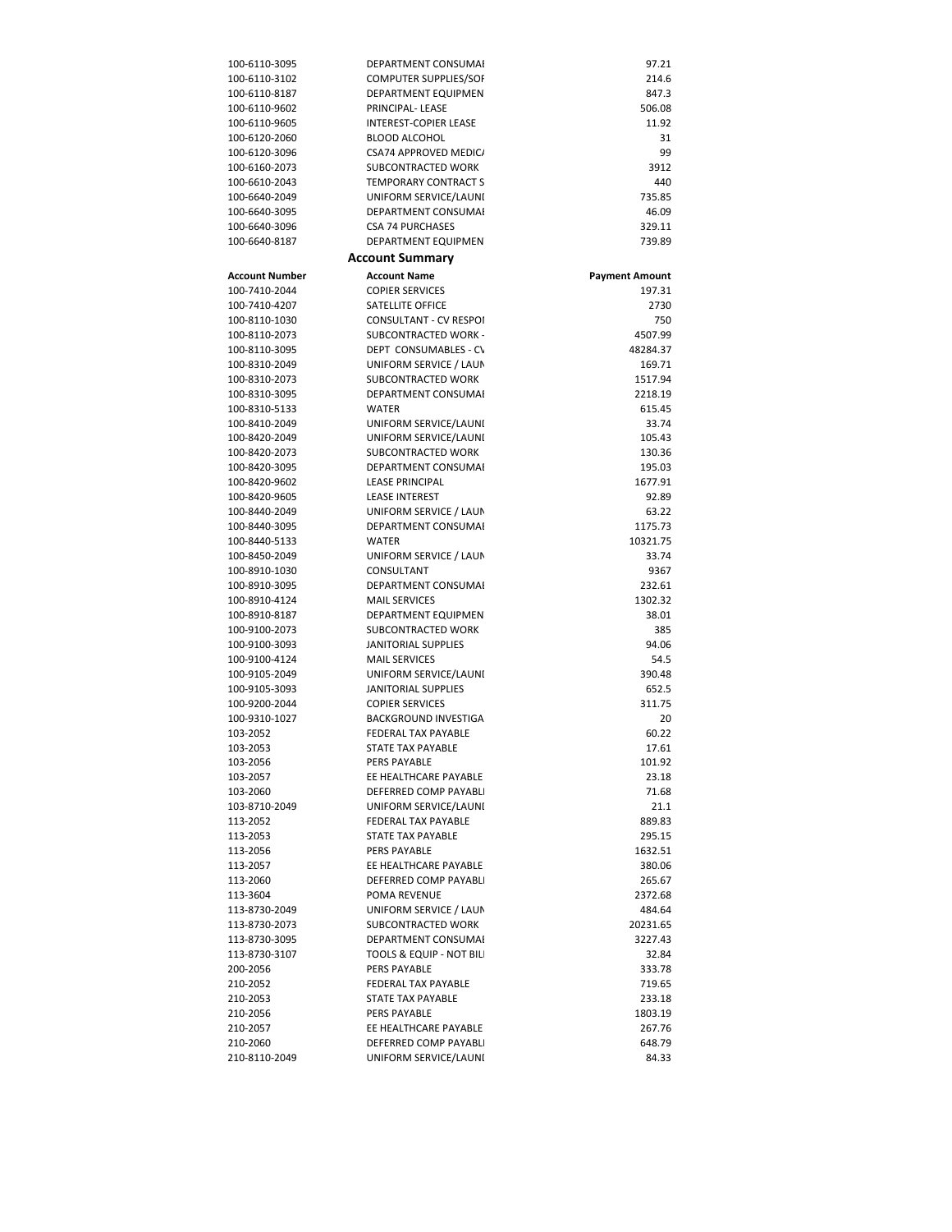| 100-6110-3095  | DEPARTMENT CONSUMAI          | 97.21                 |
|----------------|------------------------------|-----------------------|
| 100-6110-3102  | <b>COMPUTER SUPPLIES/SOF</b> | 214.6                 |
| 100-6110-8187  | DEPARTMENT EQUIPMENT         | 847.3                 |
| 100-6110-9602  | PRINCIPAL-LEASE              | 506.08                |
| 100-6110-9605  | <b>INTEREST-COPIER LEASE</b> | 11.92                 |
| 100-6120-2060  | <b>BLOOD ALCOHOL</b>         | 31                    |
| 100-6120-3096  | CSA74 APPROVED MEDIC/        | 99                    |
| 100-6160-2073  | SUBCONTRACTED WORK           | 3912                  |
| 100-6610-2043  | <b>TEMPORARY CONTRACT S</b>  | 440                   |
|                | UNIFORM SERVICE/LAUNI        |                       |
| 100-6640-2049  |                              | 735.85                |
| 100-6640-3095  | DEPARTMENT CONSUMAI          | 46.09                 |
| 100-6640-3096  | <b>CSA 74 PURCHASES</b>      | 329.11                |
| 100-6640-8187  | DEPARTMENT EQUIPMENT         | 739.89                |
|                | <b>Account Summary</b>       |                       |
| Account Number | <b>Account Name</b>          | <b>Payment Amount</b> |
| 100-7410-2044  | <b>COPIER SERVICES</b>       | 197.31                |
| 100-7410-4207  | SATELLITE OFFICE             | 2730                  |
| 100-8110-1030  | CONSULTANT - CV RESPOI       | 750                   |
| 100-8110-2073  | SUBCONTRACTED WORK -         | 4507.99               |
| 100-8110-3095  | DEPT CONSUMABLES - CV        | 48284.37              |
| 100-8310-2049  | UNIFORM SERVICE / LAUN       | 169.71                |
| 100-8310-2073  | SUBCONTRACTED WORK           | 1517.94               |
| 100-8310-3095  | DEPARTMENT CONSUMAI          | 2218.19               |
| 100-8310-5133  | <b>WATER</b>                 | 615.45                |
| 100-8410-2049  | UNIFORM SERVICE/LAUNI        | 33.74                 |
| 100-8420-2049  |                              | 105.43                |
|                | UNIFORM SERVICE/LAUNI        |                       |
| 100-8420-2073  | SUBCONTRACTED WORK           | 130.36                |
| 100-8420-3095  | DEPARTMENT CONSUMAI          | 195.03                |
| 100-8420-9602  | <b>LEASE PRINCIPAL</b>       | 1677.91               |
| 100-8420-9605  | <b>LEASE INTEREST</b>        | 92.89                 |
| 100-8440-2049  | UNIFORM SERVICE / LAUN       | 63.22                 |
| 100-8440-3095  | DEPARTMENT CONSUMAL          | 1175.73               |
| 100-8440-5133  | <b>WATER</b>                 | 10321.75              |
| 100-8450-2049  | UNIFORM SERVICE / LAUN       | 33.74                 |
| 100-8910-1030  | CONSULTANT                   | 9367                  |
| 100-8910-3095  | DEPARTMENT CONSUMAL          | 232.61                |
| 100-8910-4124  | <b>MAIL SERVICES</b>         | 1302.32               |
| 100-8910-8187  | DEPARTMENT EQUIPMENT         | 38.01                 |
| 100-9100-2073  | SUBCONTRACTED WORK           | 385                   |
| 100-9100-3093  | JANITORIAL SUPPLIES          | 94.06                 |
| 100-9100-4124  | <b>MAIL SERVICES</b>         | 54.5                  |
| 100-9105-2049  | UNIFORM SERVICE/LAUNI        | 390.48                |
| 100-9105-3093  | <b>JANITORIAL SUPPLIES</b>   | 652.5                 |
| 100-9200-2044  |                              | 311.75                |
|                | <b>COPIER SERVICES</b>       |                       |
| 100-9310-1027  | <b>BACKGROUND INVESTIGA</b>  | 20                    |
| 103-2052       | FEDERAL TAX PAYABLE          | 60.22                 |
| 103-2053       | STATE TAX PAYABLE            | 17.61                 |
| 103-2056       | PERS PAYABLE                 | 101.92                |
| 103-2057       | EE HEALTHCARE PAYABLE        | 23.18                 |
| 103-2060       | DEFERRED COMP PAYABLI        | 71.68                 |
| 103-8710-2049  | UNIFORM SERVICE/LAUNI        | 21.1                  |
| 113-2052       | FEDERAL TAX PAYABLE          | 889.83                |
| 113-2053       | STATE TAX PAYABLE            | 295.15                |
| 113-2056       | PERS PAYABLE                 | 1632.51               |
| 113-2057       | EE HEALTHCARE PAYABLE        | 380.06                |
| 113-2060       | DEFERRED COMP PAYABLI        | 265.67                |
| 113-3604       | POMA REVENUE                 | 2372.68               |
| 113-8730-2049  | UNIFORM SERVICE / LAUN       | 484.64                |
| 113-8730-2073  | SUBCONTRACTED WORK           | 20231.65              |
| 113-8730-3095  | DEPARTMENT CONSUMAI          | 3227.43               |
| 113-8730-3107  |                              |                       |
|                | TOOLS & EQUIP - NOT BILI     | 32.84                 |
| 200-2056       | PERS PAYABLE                 | 333.78                |
| 210-2052       | FEDERAL TAX PAYABLE          | 719.65                |
| 210-2053       | STATE TAX PAYABLE            | 233.18                |
| 210-2056       | PERS PAYABLE                 | 1803.19               |
| 210-2057       | EE HEALTHCARE PAYABLE        | 267.76                |
| 210-2060       | DEFERRED COMP PAYABLI        | 648.79                |
| 210-8110-2049  | UNIFORM SERVICE/LAUNI        | 84.33                 |
|                |                              |                       |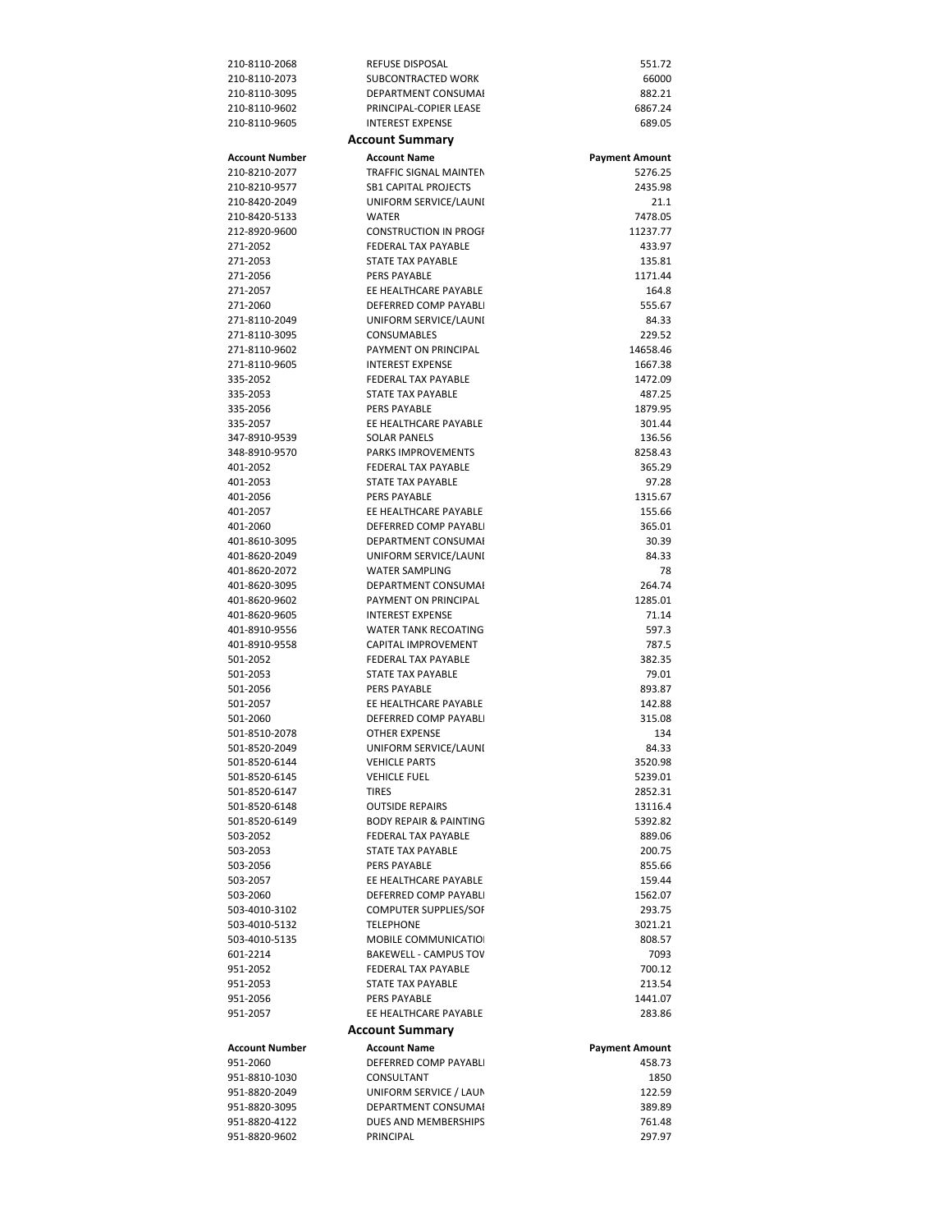| 210-8110-2068  | REFUSE DISPOSAL                   | 551.72                |
|----------------|-----------------------------------|-----------------------|
| 210-8110-2073  | SUBCONTRACTED WORK                | 66000                 |
| 210-8110-3095  | DEPARTMENT CONSUMAI               | 882.21                |
| 210-8110-9602  | PRINCIPAL-COPIER LEASE            | 6867.24               |
| 210-8110-9605  | <b>INTEREST EXPENSE</b>           | 689.05                |
|                | <b>Account Summary</b>            |                       |
|                |                                   |                       |
| Account Number | <b>Account Name</b>               | <b>Payment Amount</b> |
| 210-8210-2077  | <b>TRAFFIC SIGNAL MAINTEN</b>     | 5276.25               |
| 210-8210-9577  | <b>SB1 CAPITAL PROJECTS</b>       | 2435.98               |
| 210-8420-2049  | UNIFORM SERVICE/LAUNI             | 21.1                  |
| 210-8420-5133  | WATER                             | 7478.05               |
| 212-8920-9600  | <b>CONSTRUCTION IN PROGE</b>      | 11237.77              |
| 271-2052       | <b>FEDERAL TAX PAYABLE</b>        | 433.97                |
| 271-2053       | STATE TAX PAYABLE                 | 135.81                |
| 271-2056       | PERS PAYABLE                      | 1171.44               |
| 271-2057       | EE HEALTHCARE PAYABLE             | 164.8                 |
| 271-2060       | DEFERRED COMP PAYABLI             | 555.67                |
| 271-8110-2049  | UNIFORM SERVICE/LAUNI             | 84.33                 |
| 271-8110-3095  | CONSUMABLES                       | 229.52                |
| 271-8110-9602  | PAYMENT ON PRINCIPAL              | 14658.46              |
| 271-8110-9605  | <b>INTEREST EXPENSE</b>           | 1667.38               |
| 335-2052       | <b>FEDERAL TAX PAYABLE</b>        | 1472.09               |
| 335-2053       | STATE TAX PAYABLE                 | 487.25                |
| 335-2056       | PERS PAYABLE                      | 1879.95               |
| 335-2057       | EE HEALTHCARE PAYABLE             |                       |
|                |                                   | 301.44                |
| 347-8910-9539  | <b>SOLAR PANELS</b>               | 136.56                |
| 348-8910-9570  | <b>PARKS IMPROVEMENTS</b>         | 8258.43               |
| 401-2052       | FEDERAL TAX PAYABLE               | 365.29                |
| 401-2053       | <b>STATE TAX PAYABLE</b>          | 97.28                 |
| 401-2056       | PERS PAYABLE                      | 1315.67               |
| 401-2057       | EE HEALTHCARE PAYABLE             | 155.66                |
| 401-2060       | DEFERRED COMP PAYABLI             | 365.01                |
| 401-8610-3095  | DEPARTMENT CONSUMAI               | 30.39                 |
| 401-8620-2049  | UNIFORM SERVICE/LAUNI             | 84.33                 |
| 401-8620-2072  | <b>WATER SAMPLING</b>             | 78                    |
| 401-8620-3095  | DEPARTMENT CONSUMAI               | 264.74                |
| 401-8620-9602  | PAYMENT ON PRINCIPAL              | 1285.01               |
| 401-8620-9605  | <b>INTEREST EXPENSE</b>           | 71.14                 |
| 401-8910-9556  | <b>WATER TANK RECOATING</b>       | 597.3                 |
| 401-8910-9558  | CAPITAL IMPROVEMENT               | 787.5                 |
| 501-2052       | FEDERAL TAX PAYABLE               | 382.35                |
| 501-2053       | STATE TAX PAYABLE                 | 79.01                 |
| 501-2056       | PERS PAYABLE                      | 893.87                |
| 501-2057       | EE HEALTHCARE PAYABLE             | 142.88                |
|                |                                   |                       |
| 501-2060       | DEFERRED COMP PAYABLI             | 315.08                |
| 501-8510-2078  | OTHER EXPENSE                     | 134                   |
| 501-8520-2049  | UNIFORM SERVICE/LAUNI             | 84.33                 |
| 501-8520-6144  | <b>VEHICLE PARTS</b>              | 3520.98               |
| 501-8520-6145  | <b>VEHICLE FUEL</b>               | 5239.01               |
| 501-8520-6147  | <b>TIRES</b>                      | 2852.31               |
| 501-8520-6148  | <b>OUTSIDE REPAIRS</b>            | 13116.4               |
| 501-8520-6149  | <b>BODY REPAIR &amp; PAINTING</b> | 5392.82               |
| 503-2052       | FEDERAL TAX PAYABLE               | 889.06                |
| 503-2053       | STATE TAX PAYABLE                 | 200.75                |
| 503-2056       | PERS PAYABLE                      | 855.66                |
| 503-2057       | EE HEALTHCARE PAYABLE             | 159.44                |
| 503-2060       | DEFERRED COMP PAYABLI             | 1562.07               |
| 503-4010-3102  | <b>COMPUTER SUPPLIES/SOF</b>      | 293.75                |
| 503-4010-5132  | <b>TELEPHONE</b>                  | 3021.21               |
| 503-4010-5135  | MOBILE COMMUNICATIOI              | 808.57                |
| 601-2214       | <b>BAKEWELL - CAMPUS TOV</b>      | 7093                  |
| 951-2052       | FEDERAL TAX PAYABLE               | 700.12                |
| 951-2053       | STATE TAX PAYABLE                 | 213.54                |
| 951-2056       | PERS PAYABLE                      | 1441.07               |
| 951-2057       | EE HEALTHCARE PAYABLE             | 283.86                |
|                |                                   |                       |
|                | <b>Account Summary</b>            |                       |
| Account Number | <b>Account Name</b>               | <b>Payment Amount</b> |
| 951-2060       | DEFERRED COMP PAYABLI             | 458.73                |
| 951-8810-1030  | CONSULTANT                        | 1850                  |
| 951-8820-2049  | UNIFORM SERVICE / LAUN            | 122.59                |
| 951-8820-3095  | DEPARTMENT CONSUMAI               | 389.89                |
| 951-8820-4122  | DUES AND MEMBERSHIPS              | 761.48                |
| 951-8820-9602  | PRINCIPAL                         | 297.97                |
|                |                                   |                       |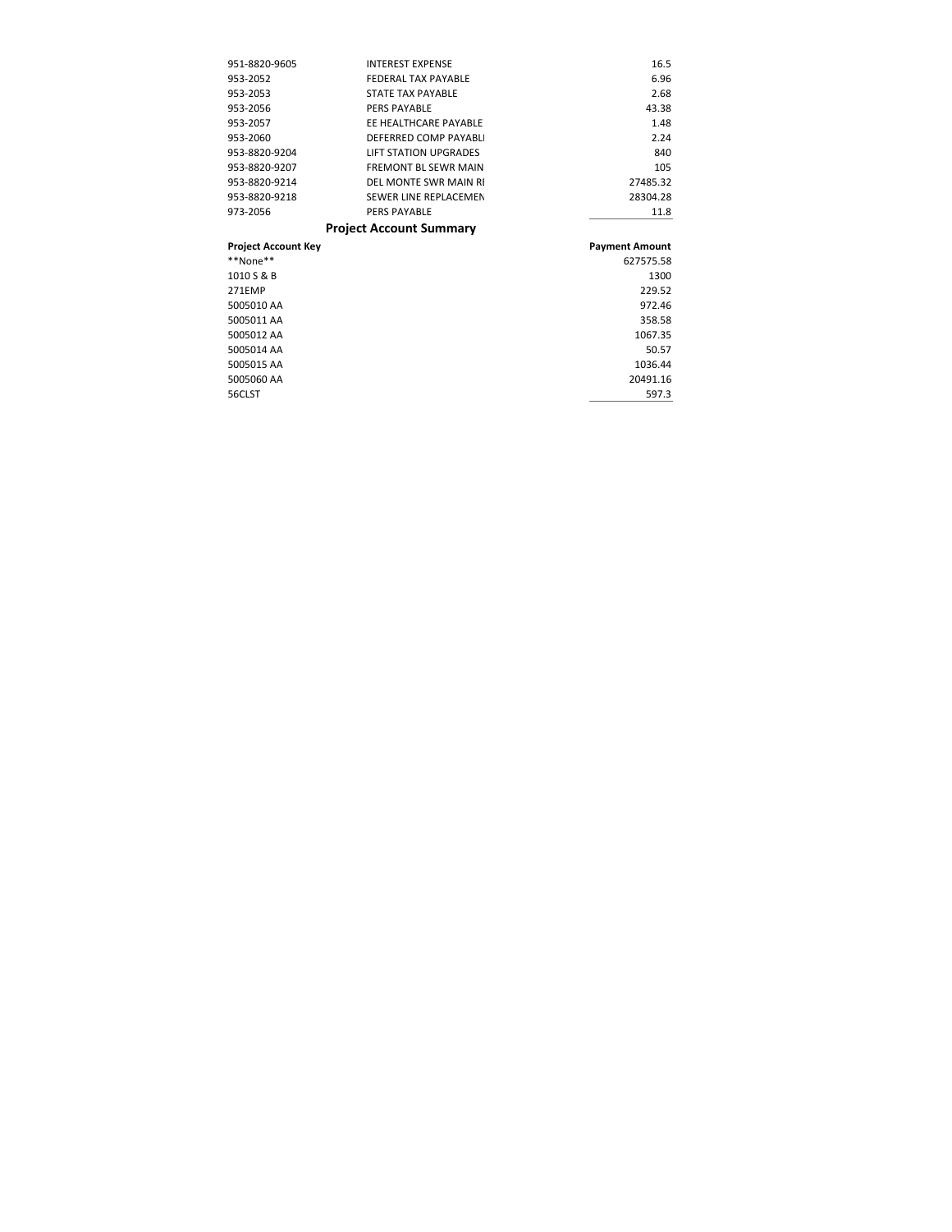| 951-8820-9605              | <b>INTEREST EXPENSE</b>        | 16.5                  |
|----------------------------|--------------------------------|-----------------------|
| 953-2052                   | <b>FEDERAL TAX PAYABLE</b>     | 6.96                  |
| 953-2053                   | <b>STATE TAX PAYABLE</b>       | 2.68                  |
| 953-2056                   | <b>PERS PAYABLE</b>            | 43.38                 |
| 953-2057                   | EE HEALTHCARE PAYABLE          | 1.48                  |
| 953-2060                   | DEFERRED COMP PAYABLI          | 2.24                  |
| 953-8820-9204              | <b>LIFT STATION UPGRADES</b>   | 840                   |
| 953-8820-9207              | <b>FREMONT BL SEWR MAIN</b>    | 105                   |
| 953-8820-9214              | DEL MONTE SWR MAIN RI          | 27485.32              |
| 953-8820-9218              | SEWER LINE REPLACEMEN          | 28304.28              |
| 973-2056                   | <b>PERS PAYABLE</b>            | 11.8                  |
|                            |                                |                       |
|                            | <b>Project Account Summary</b> |                       |
| <b>Project Account Key</b> |                                | <b>Payment Amount</b> |
| **None**                   |                                | 627575.58             |
| 1010 S & B                 |                                | 1300                  |
| 271EMP                     |                                | 229.52                |
| 5005010 AA                 |                                | 972.46                |
| 5005011 AA                 |                                | 358.58                |
| 5005012 AA                 |                                | 1067.35               |
| 5005014 AA                 |                                | 50.57                 |
| 5005015 AA                 |                                | 1036.44               |
| 5005060 AA                 |                                | 20491.16              |

5005060 AA 20491.16 20491.16 20491.16 20491.16 20491.16 20491.16 20491.16 20491.16 56CLST 597.3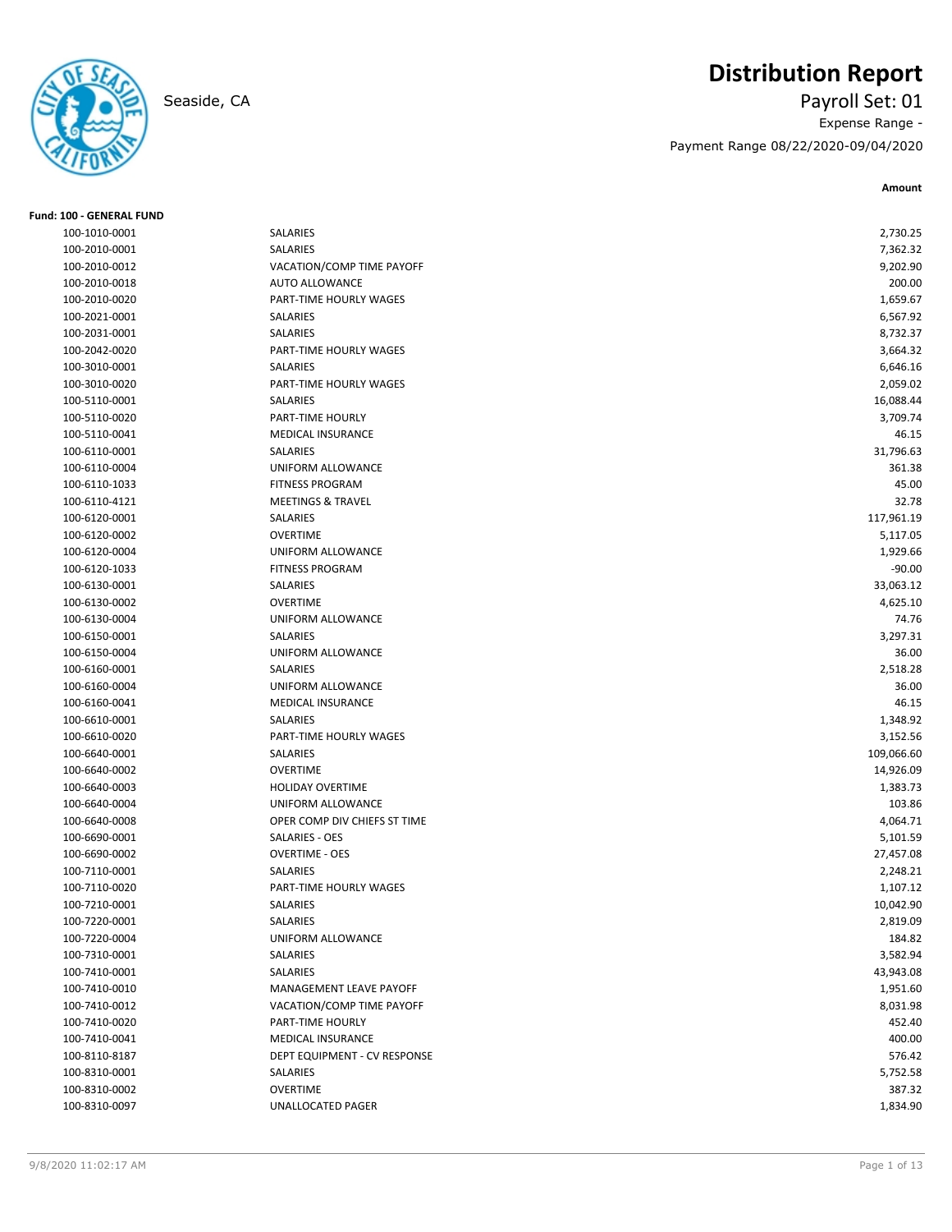**Fund: 100 - GENERAL FUND**

# **Distribution Report**

Seaside, CA Payroll Set: 01 Expense Range - Payment Range 08/22/2020-09/04/2020

**Amount**

| 100-1010-0001 | <b>SALARIES</b>              | 2,730.25   |
|---------------|------------------------------|------------|
| 100-2010-0001 | <b>SALARIES</b>              | 7,362.32   |
| 100-2010-0012 | VACATION/COMP TIME PAYOFF    | 9,202.90   |
| 100-2010-0018 | <b>AUTO ALLOWANCE</b>        | 200.00     |
| 100-2010-0020 | PART-TIME HOURLY WAGES       | 1,659.67   |
| 100-2021-0001 | <b>SALARIES</b>              | 6,567.92   |
| 100-2031-0001 | SALARIES                     | 8,732.37   |
| 100-2042-0020 | PART-TIME HOURLY WAGES       | 3,664.32   |
| 100-3010-0001 | SALARIES                     | 6,646.16   |
| 100-3010-0020 | PART-TIME HOURLY WAGES       | 2,059.02   |
| 100-5110-0001 | SALARIES                     | 16,088.44  |
| 100-5110-0020 | PART-TIME HOURLY             | 3,709.74   |
| 100-5110-0041 | <b>MEDICAL INSURANCE</b>     | 46.15      |
| 100-6110-0001 | SALARIES                     | 31,796.63  |
| 100-6110-0004 | UNIFORM ALLOWANCE            | 361.38     |
| 100-6110-1033 | <b>FITNESS PROGRAM</b>       | 45.00      |
| 100-6110-4121 | <b>MEETINGS &amp; TRAVEL</b> | 32.78      |
| 100-6120-0001 | SALARIES                     | 117,961.19 |
| 100-6120-0002 | <b>OVERTIME</b>              | 5,117.05   |
| 100-6120-0004 | UNIFORM ALLOWANCE            | 1,929.66   |
| 100-6120-1033 | <b>FITNESS PROGRAM</b>       | $-90.00$   |
| 100-6130-0001 | SALARIES                     | 33,063.12  |
| 100-6130-0002 | <b>OVERTIME</b>              | 4,625.10   |
| 100-6130-0004 | UNIFORM ALLOWANCE            | 74.76      |
| 100-6150-0001 | SALARIES                     | 3,297.31   |
| 100-6150-0004 | UNIFORM ALLOWANCE            | 36.00      |
| 100-6160-0001 | SALARIES                     | 2,518.28   |
| 100-6160-0004 | UNIFORM ALLOWANCE            | 36.00      |
| 100-6160-0041 | <b>MEDICAL INSURANCE</b>     | 46.15      |
| 100-6610-0001 | SALARIES                     | 1,348.92   |
| 100-6610-0020 | PART-TIME HOURLY WAGES       | 3,152.56   |
| 100-6640-0001 | SALARIES                     | 109,066.60 |
| 100-6640-0002 | <b>OVERTIME</b>              |            |
|               |                              | 14,926.09  |
| 100-6640-0003 | <b>HOLIDAY OVERTIME</b>      | 1,383.73   |
| 100-6640-0004 | UNIFORM ALLOWANCE            | 103.86     |
| 100-6640-0008 | OPER COMP DIV CHIEFS ST TIME | 4,064.71   |
| 100-6690-0001 | SALARIES - OES               | 5,101.59   |
| 100-6690-0002 | <b>OVERTIME - OES</b>        | 27,457.08  |
| 100-7110-0001 | SALARIES                     | 2,248.21   |
| 100-7110-0020 | PART-TIME HOURLY WAGES       | 1,107.12   |
| 100-7210-0001 | SALARIES                     | 10,042.90  |
| 100-7220-0001 | SALARIES                     | 2,819.09   |
| 100-7220-0004 | UNIFORM ALLOWANCE            | 184.82     |
| 100-7310-0001 | SALARIES                     | 3,582.94   |
| 100-7410-0001 | SALARIES                     | 43,943.08  |
| 100-7410-0010 | MANAGEMENT LEAVE PAYOFF      | 1,951.60   |
| 100-7410-0012 | VACATION/COMP TIME PAYOFF    | 8,031.98   |
| 100-7410-0020 | PART-TIME HOURLY             | 452.40     |
| 100-7410-0041 | MEDICAL INSURANCE            | 400.00     |
| 100-8110-8187 | DEPT EQUIPMENT - CV RESPONSE | 576.42     |
| 100-8310-0001 | SALARIES                     | 5,752.58   |
| 100-8310-0002 | <b>OVERTIME</b>              | 387.32     |
| 100-8310-0097 | UNALLOCATED PAGER            | 1,834.90   |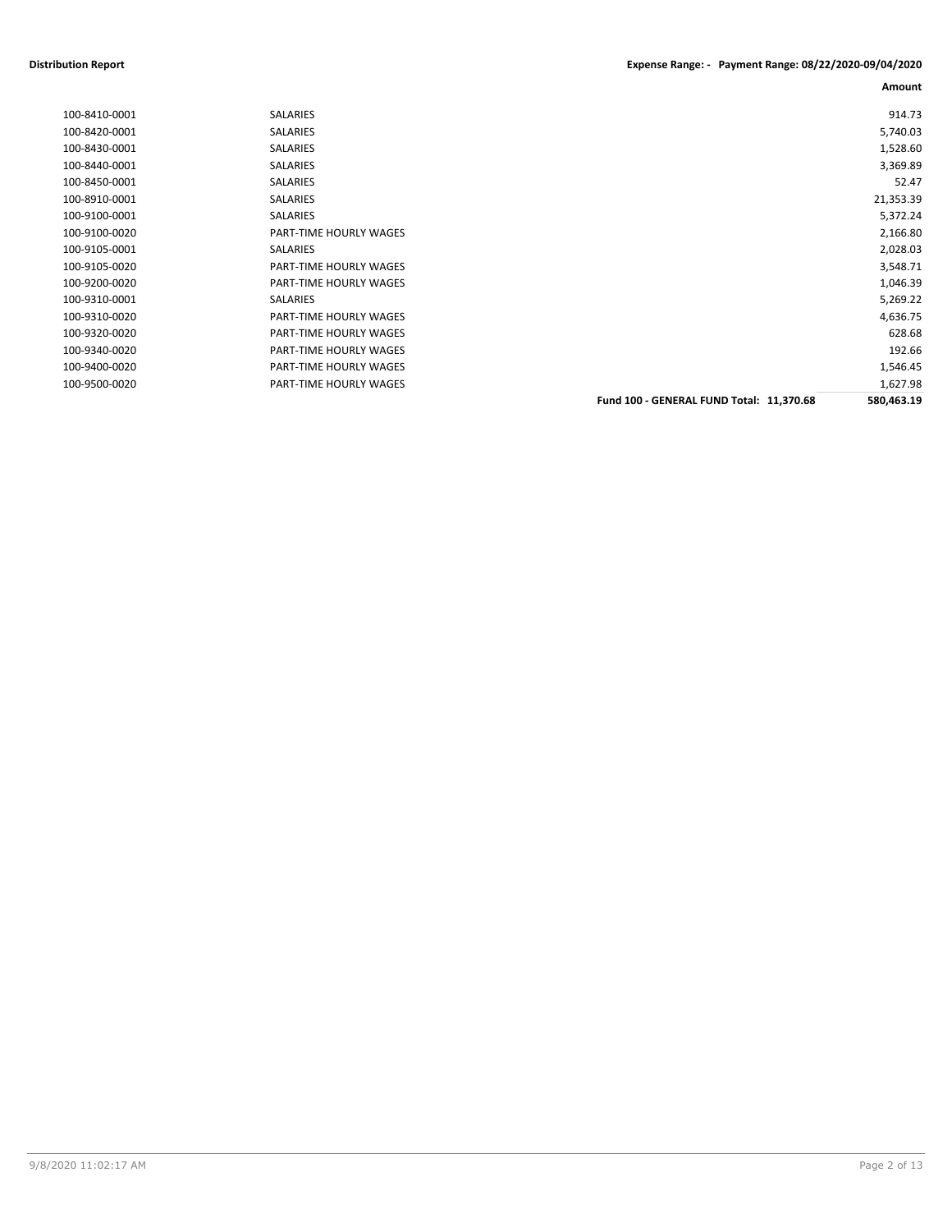#### **Distribution Report Expense Range: - Payment Range: 08/22/2020-09/04/2020**

|               |                        |                                          | Amount     |
|---------------|------------------------|------------------------------------------|------------|
| 100-8410-0001 | SALARIES               |                                          | 914.73     |
| 100-8420-0001 | <b>SALARIES</b>        |                                          | 5,740.03   |
| 100-8430-0001 | SALARIES               |                                          | 1,528.60   |
| 100-8440-0001 | SALARIES               |                                          | 3,369.89   |
| 100-8450-0001 | SALARIES               |                                          | 52.47      |
| 100-8910-0001 | SALARIES               |                                          | 21,353.39  |
| 100-9100-0001 | SALARIES               |                                          | 5,372.24   |
| 100-9100-0020 | PART-TIME HOURLY WAGES |                                          | 2,166.80   |
| 100-9105-0001 | <b>SALARIES</b>        |                                          | 2,028.03   |
| 100-9105-0020 | PART-TIME HOURLY WAGES |                                          | 3,548.71   |
| 100-9200-0020 | PART-TIME HOURLY WAGES |                                          | 1,046.39   |
| 100-9310-0001 | <b>SALARIES</b>        |                                          | 5,269.22   |
| 100-9310-0020 | PART-TIME HOURLY WAGES |                                          | 4,636.75   |
| 100-9320-0020 | PART-TIME HOURLY WAGES |                                          | 628.68     |
| 100-9340-0020 | PART-TIME HOURLY WAGES |                                          | 192.66     |
| 100-9400-0020 | PART-TIME HOURLY WAGES |                                          | 1,546.45   |
| 100-9500-0020 | PART-TIME HOURLY WAGES |                                          | 1,627.98   |
|               |                        | Fund 100 - GENERAL FUND Total: 11,370.68 | 580,463.19 |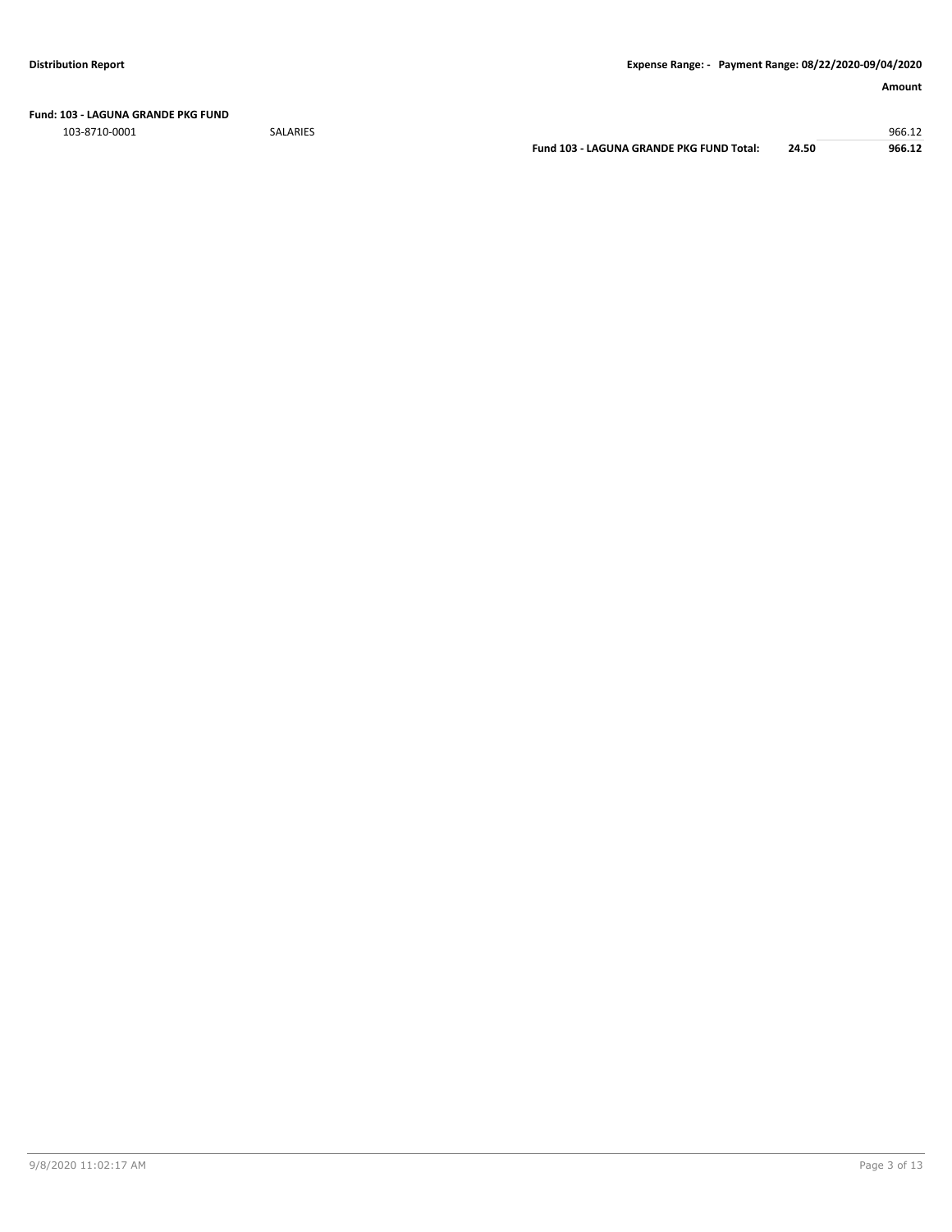**Fund: 103 - LAGUNA GRANDE PKG FUND**

103-8710-0001 SALARIES 966.12

**Fund 103 - LAGUNA GRANDE PKG FUND Total: 24.50 966.12**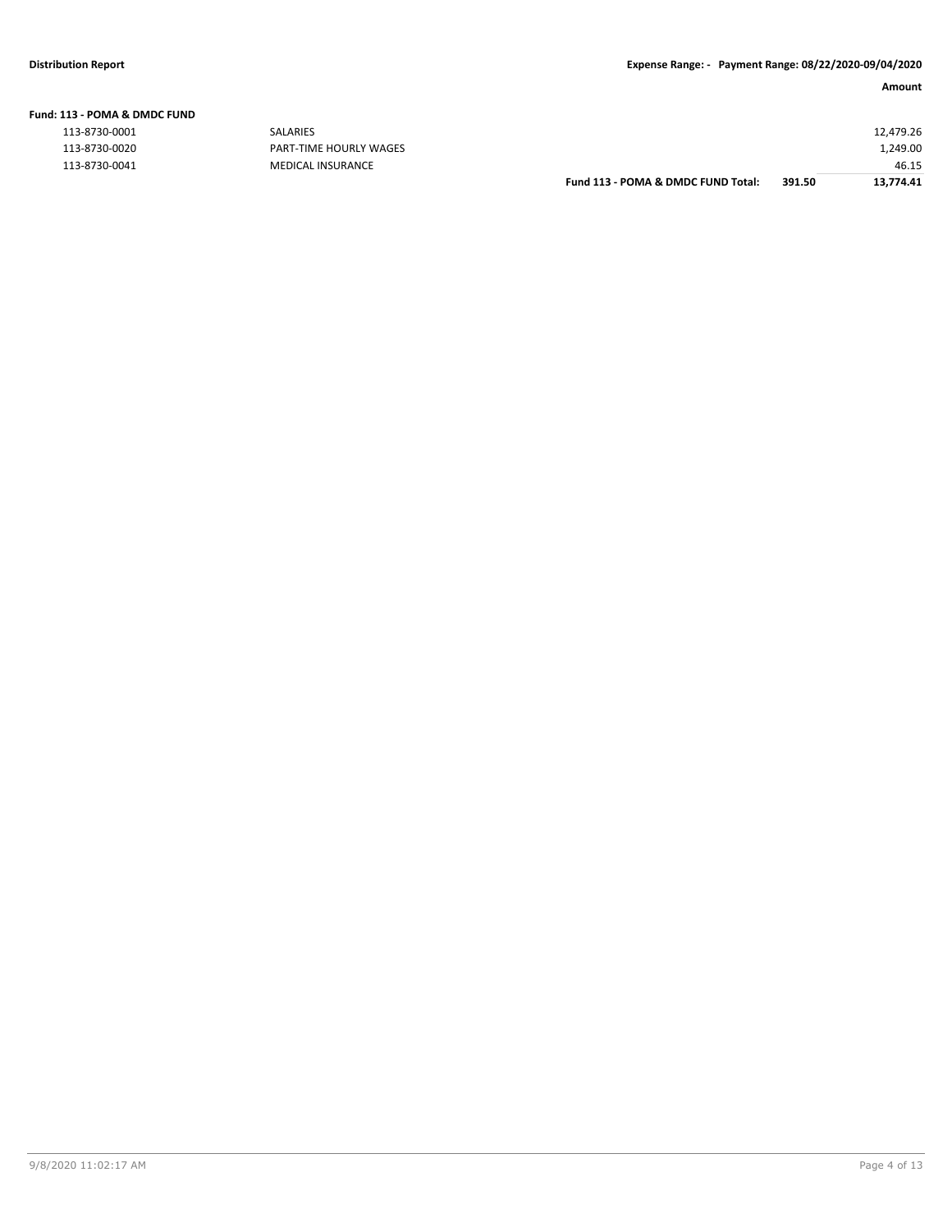| Fund: 113 - POMA & DMDC FUND |  |  |  |
|------------------------------|--|--|--|
|                              |  |  |  |

|               |                               | Fund 113 - POMA & DMDC FUND Total: | 391.50 | 13.774.41 |
|---------------|-------------------------------|------------------------------------|--------|-----------|
| 113-8730-0041 | MEDICAL INSURANCE             |                                    |        | 46.15     |
| 113-8730-0020 | <b>PART-TIME HOURLY WAGES</b> |                                    |        | 1,249.00  |
| 113-8730-0001 | SALARIES                      |                                    |        | 12,479.26 |
|               |                               |                                    |        |           |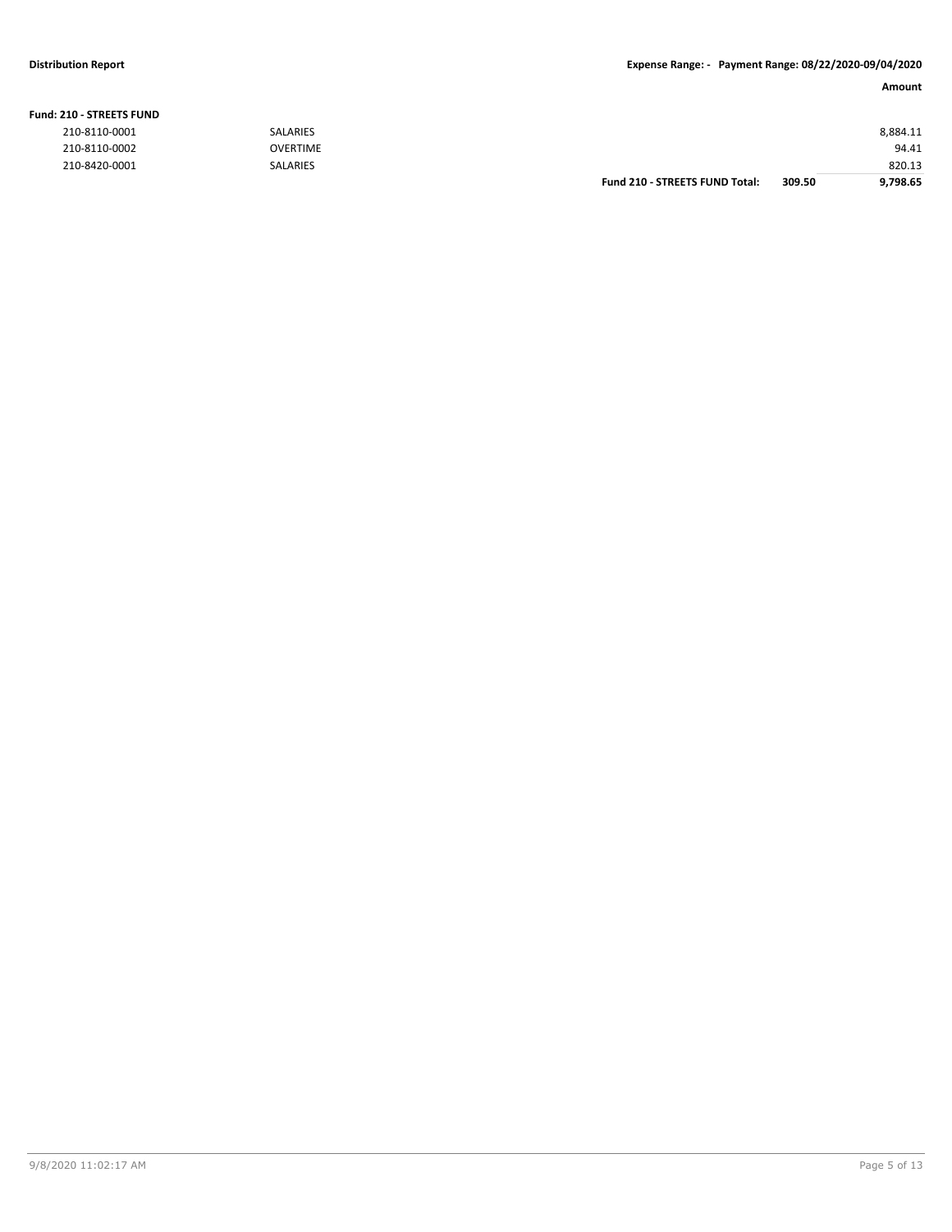#### **Fund: 210 - STREETS FUND**

**Amount**

| 210-8110-0001 | <b>SALARIES</b> |                                       |        | 8,884.11 |
|---------------|-----------------|---------------------------------------|--------|----------|
| 210-8110-0002 | <b>OVERTIME</b> |                                       |        | 94.41    |
| 210-8420-0001 | <b>SALARIES</b> |                                       |        | 820.13   |
|               |                 | <b>Fund 210 - STREETS FUND Total:</b> | 309.50 | 9,798.65 |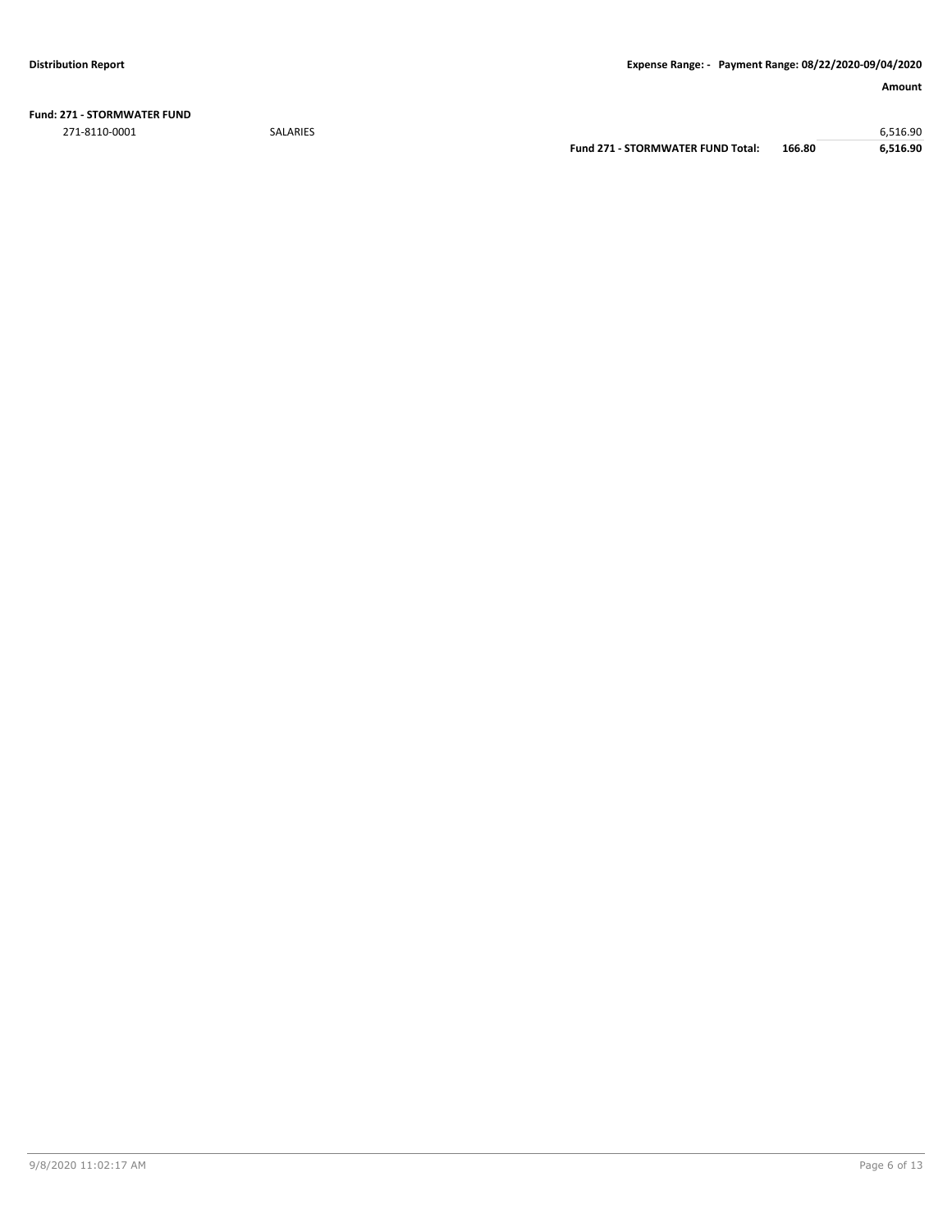**Fund: 271 - STORMWATER FUND** 271-8110-0001 SALARIES 6,516.90

**Fund 271 - STORMWATER FUND Total: 166.80 6,516.90**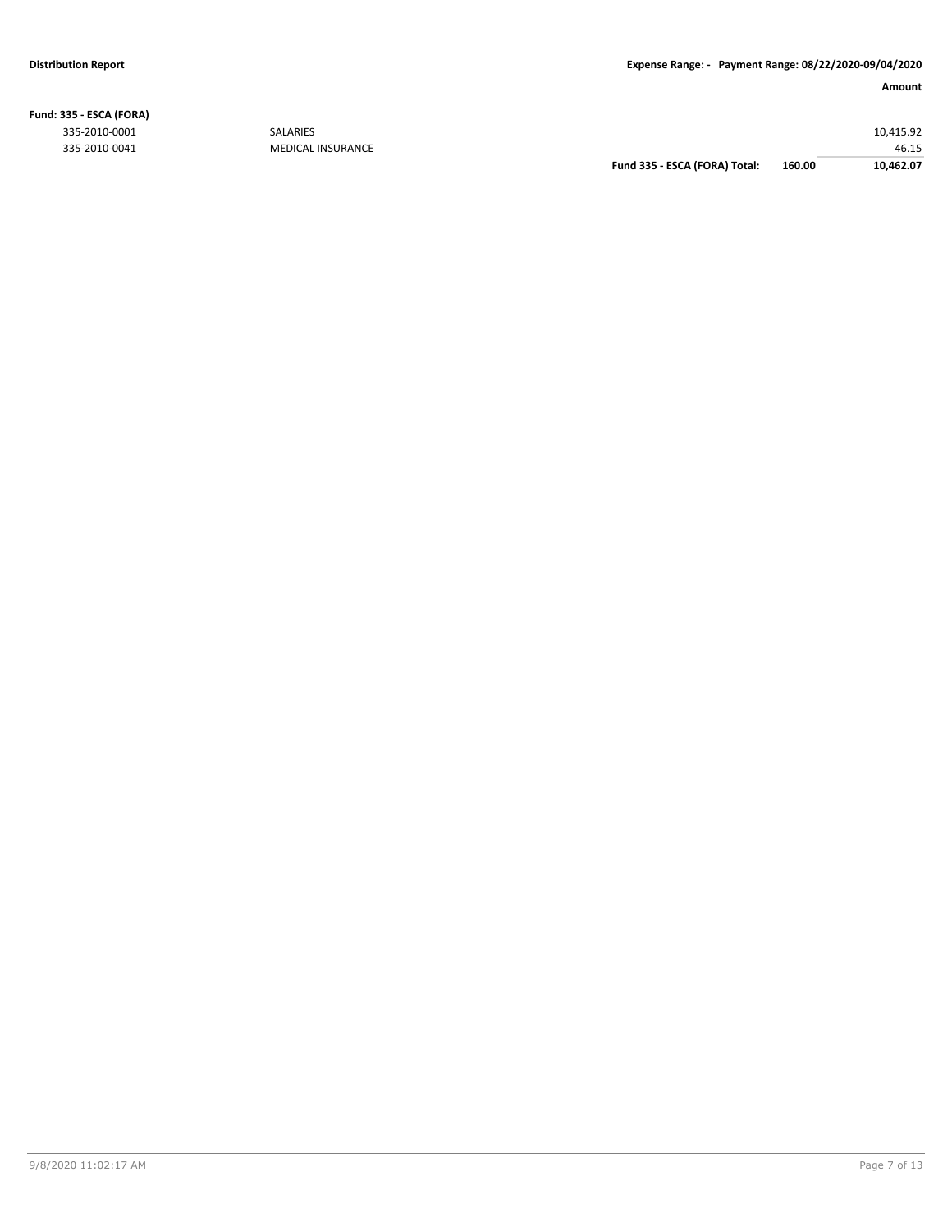**Fund: 335 - ESCA (FORA)**

#### **Amount**

335-2010-0001 SALARIES 10,415.92 46.15<br>46.15 46.15 GUIDEAL INSURANCE Fund 335 - ESCA (FORA) Total: 46.00 46.15<br>46.15 Fund 335 - ESCA (FORA) Total: 460.00 40.462.07 **Fund 335 - ESCA (FORA) Total: 160.00 10,462.07**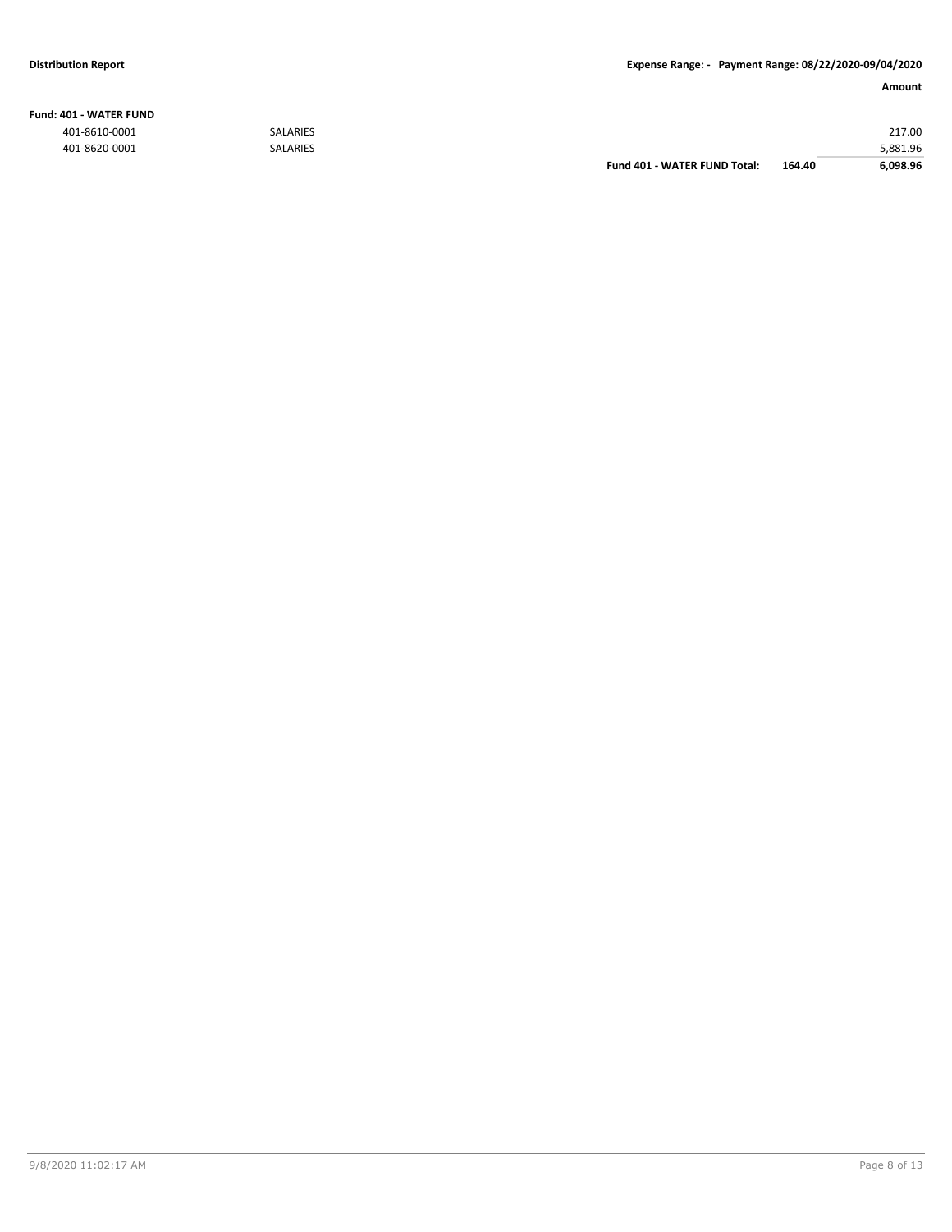#### **Fund: 401 - WATER FUND**

|               |                 | Fund 401 - WATER FUND Total: | 164.40 | 6,098.96 |
|---------------|-----------------|------------------------------|--------|----------|
| 401-8620-0001 | <b>SALARIES</b> |                              |        | 5,881.96 |
| 401-8610-0001 | <b>SALARIES</b> |                              |        | 217.00   |
|               |                 |                              |        |          |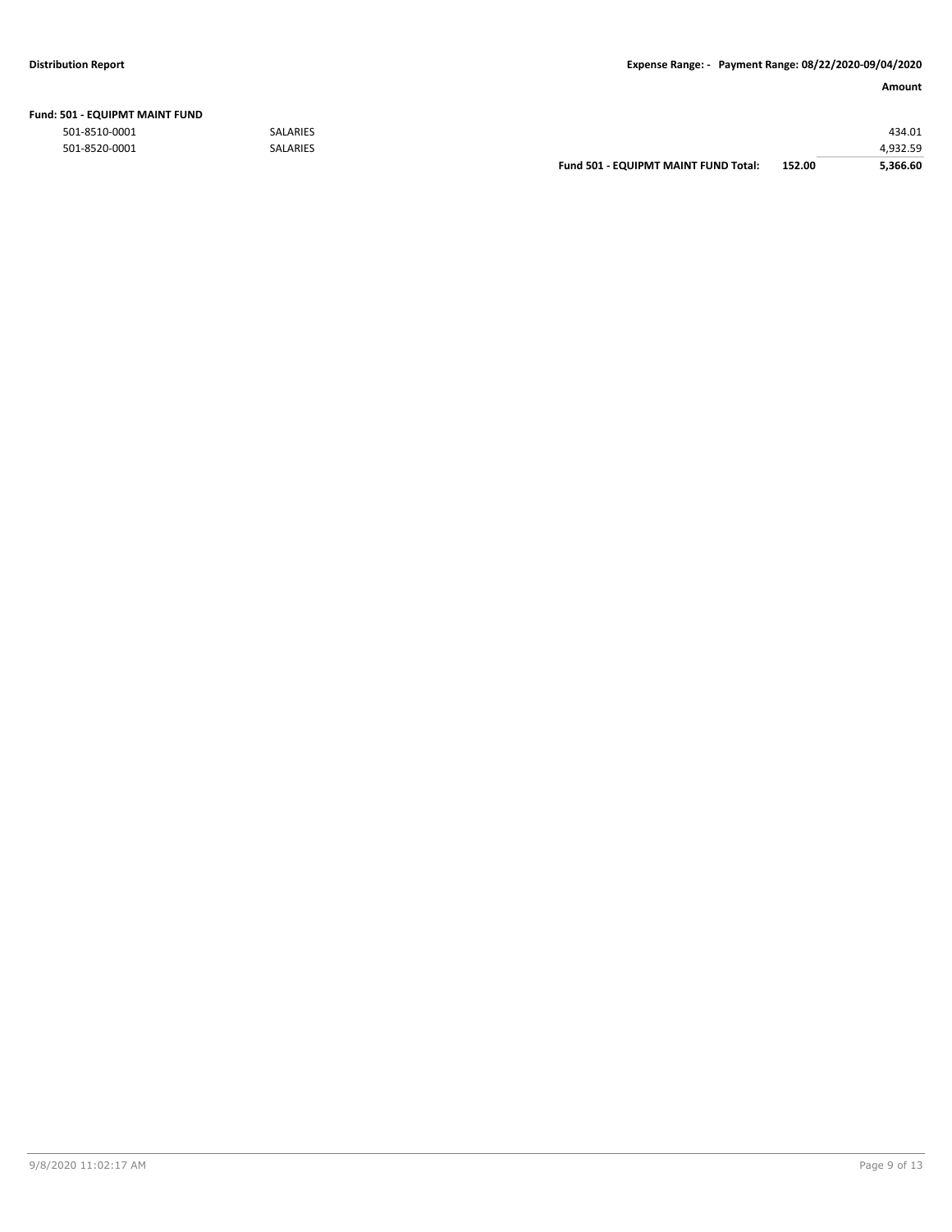| Fund: 501 - EQUIPMT MAINT FUND |  |
|--------------------------------|--|
|--------------------------------|--|

|               |                 | <b>Fund 501 - EQUIPMT MAINT FUND Total:</b> | 152.00 | 5.366.60 |
|---------------|-----------------|---------------------------------------------|--------|----------|
| 501-8520-0001 | <b>SALARIES</b> |                                             |        | 1.932.59 |
| 501-8510-0001 | <b>SALARIES</b> |                                             |        | 434.01   |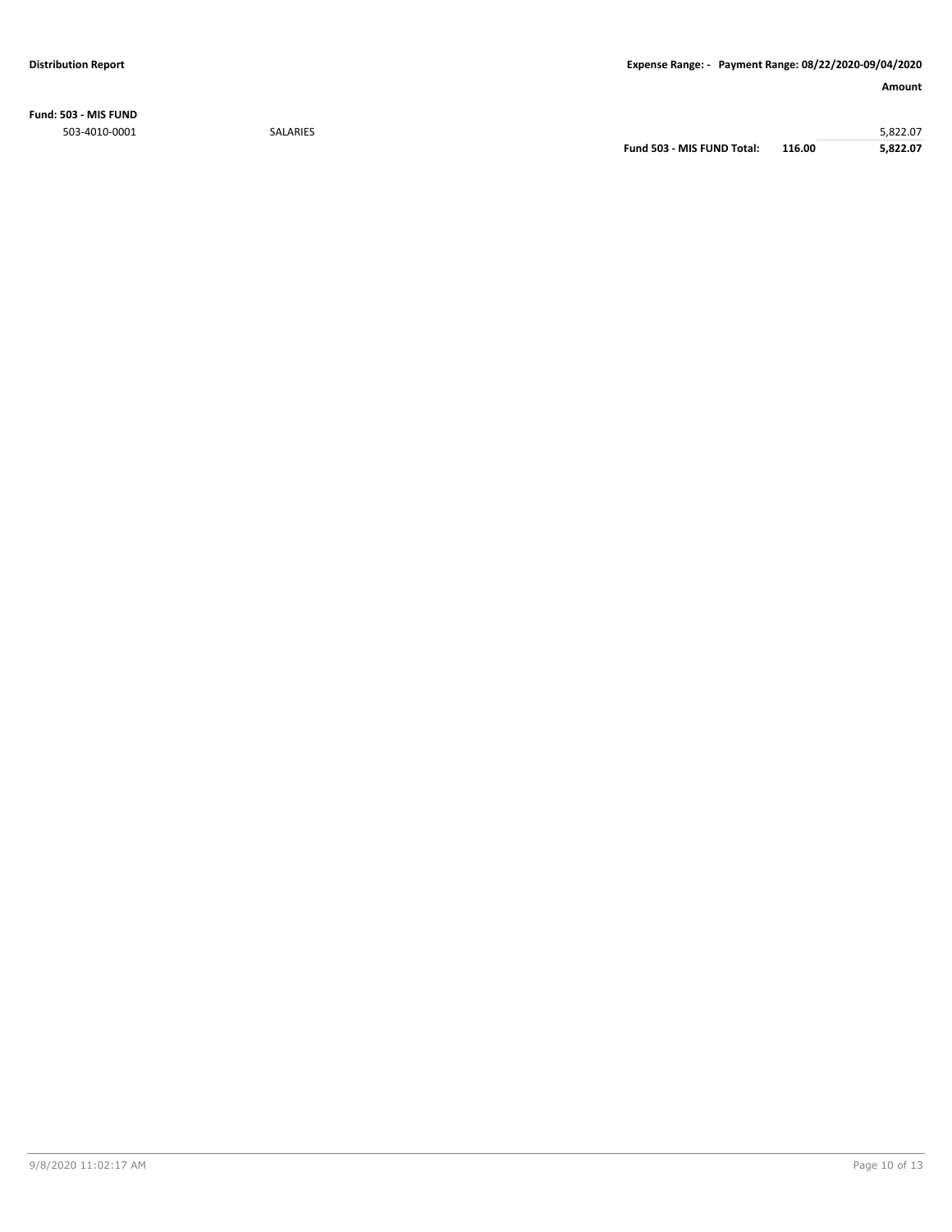**Fund: 503 - MIS FUND** 503-4010-0001 SALARIES 5,822.07

**Fund 503 - MIS FUND Total: 116.00 5,822.07**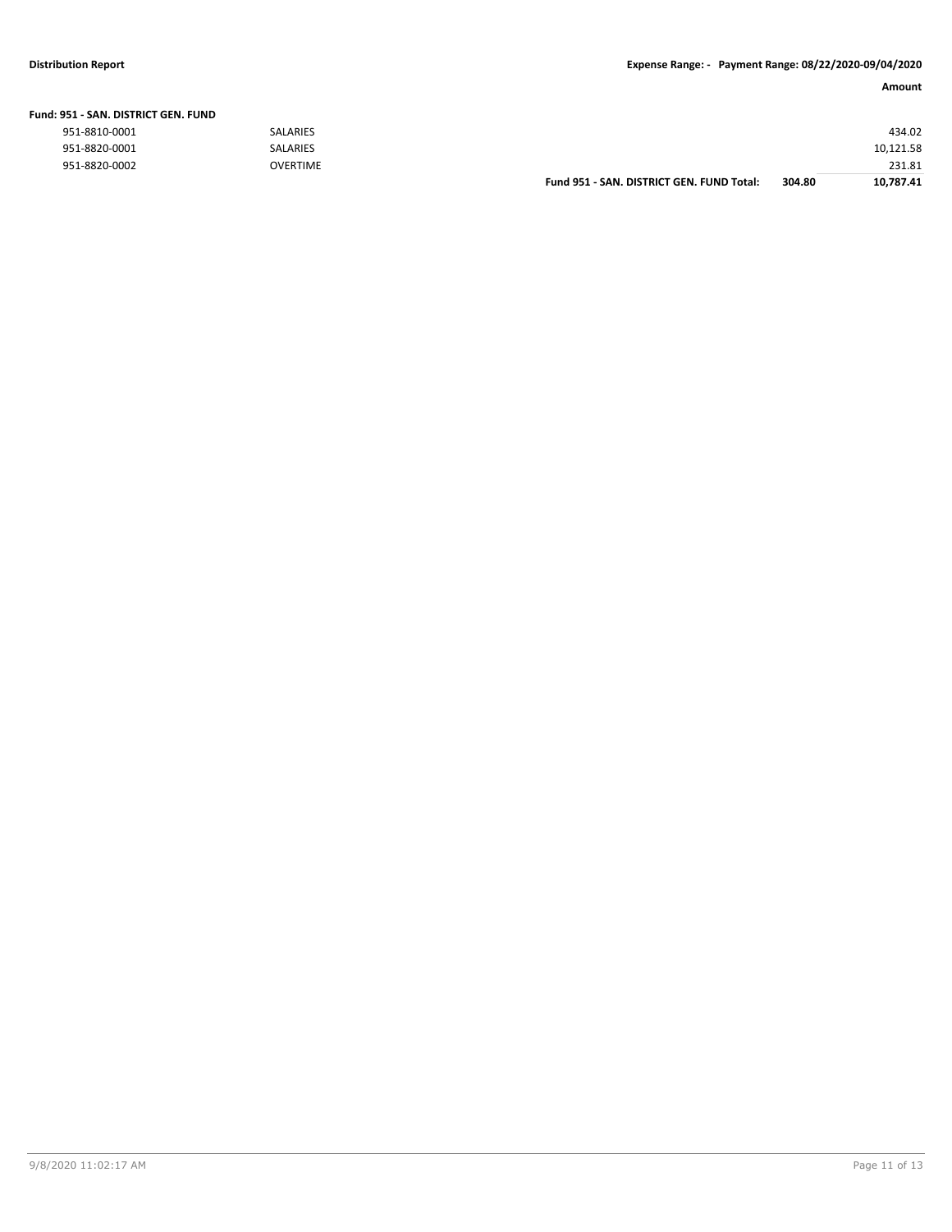|                               |                 | Fund 951 - SAN, DISTRICT GEN, FUND Total: | 304.80 | 10.787.41 |
|-------------------------------|-----------------|-------------------------------------------|--------|-----------|
| 951-8820-0002                 | OVERTIME        |                                           |        | 231.81    |
| 951-8820-0001                 | <b>SALARIES</b> |                                           |        | 10,121.58 |
| 951-8810-0001                 | <b>SALARIES</b> |                                           |        | 434.02    |
| 151 - SAN. DISTRICT GEN. FUND |                 |                                           |        |           |

### **Fund: 951 - SAN. DISTRICT GEN. FUND**

| 951-8810-0001 |  |
|---------------|--|
| 951-8820-0001 |  |
| 951-8820-0002 |  |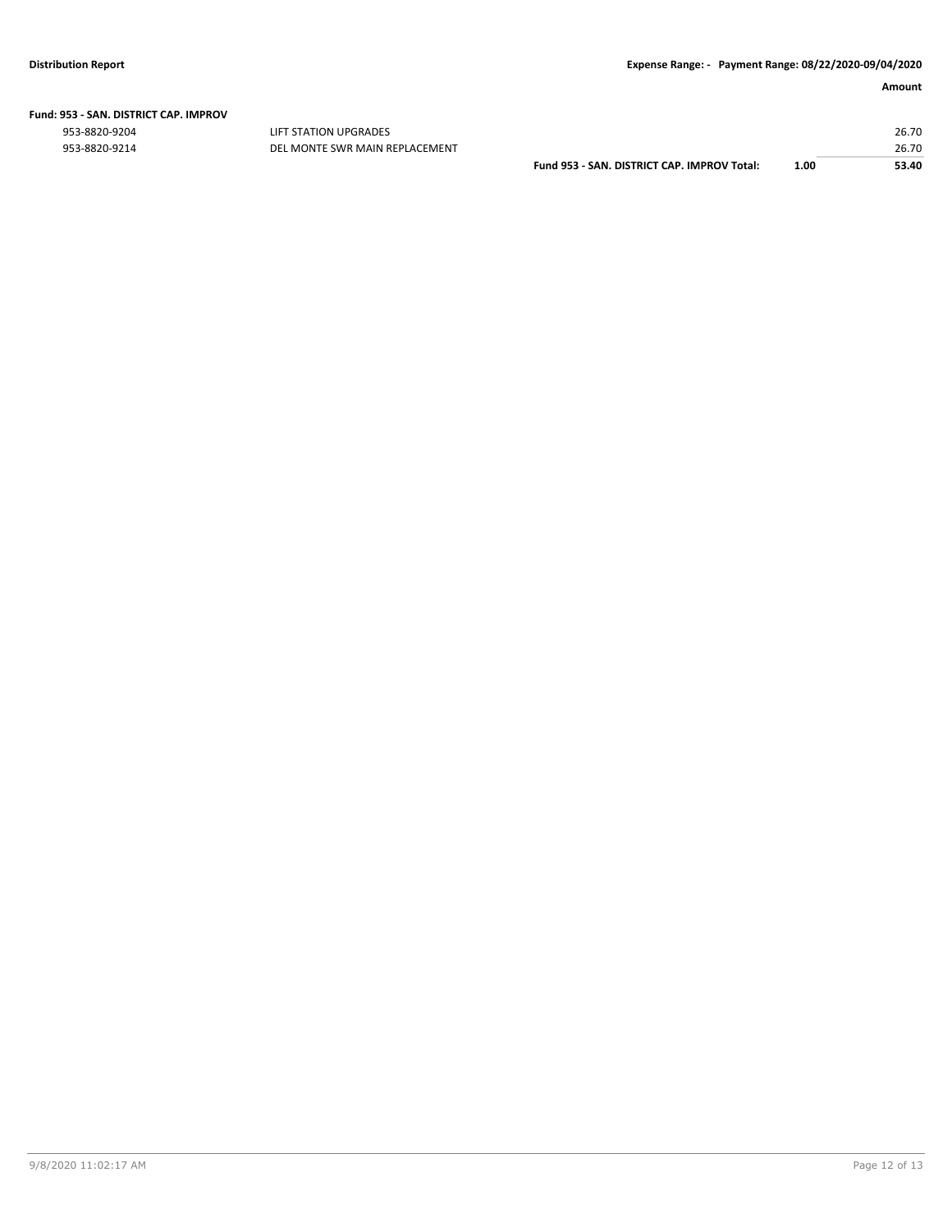|  | Fund: 953 - SAN. DISTRICT CAP. IMPROV |  |
|--|---------------------------------------|--|
|  |                                       |  |

953-8820-9204 LIFT STATION UPGRADES 26.70 953-8820-9214 DEL MONTE SWR MAIN REPLACEMENT 26.70

**Fund 953 - SAN. DISTRICT CAP. IMPROV Total: 1.00 53.40**